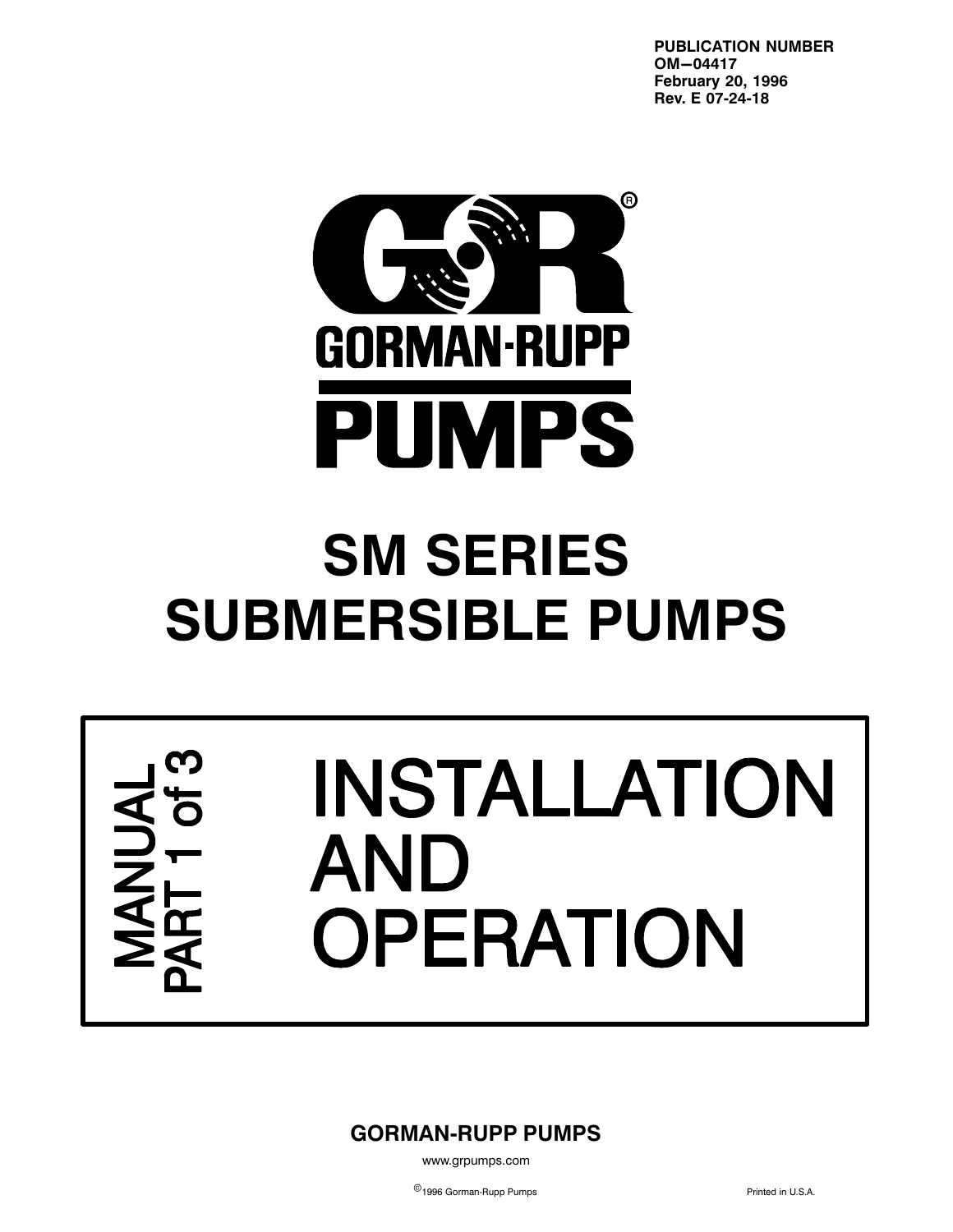**PUBLICATION NUMBER OM-04417 February 20, 1996 Rev. E 07‐24‐18**



# **SM SERIES SUBMERSIBLE PUMPS**

# INSTALLATION AND **OPERATION**

**GORMAN‐RUPP PUMPS**

www.grpumps.com

©<br>■1996 Gorman-Rupp Pumps Printed in U.S.A.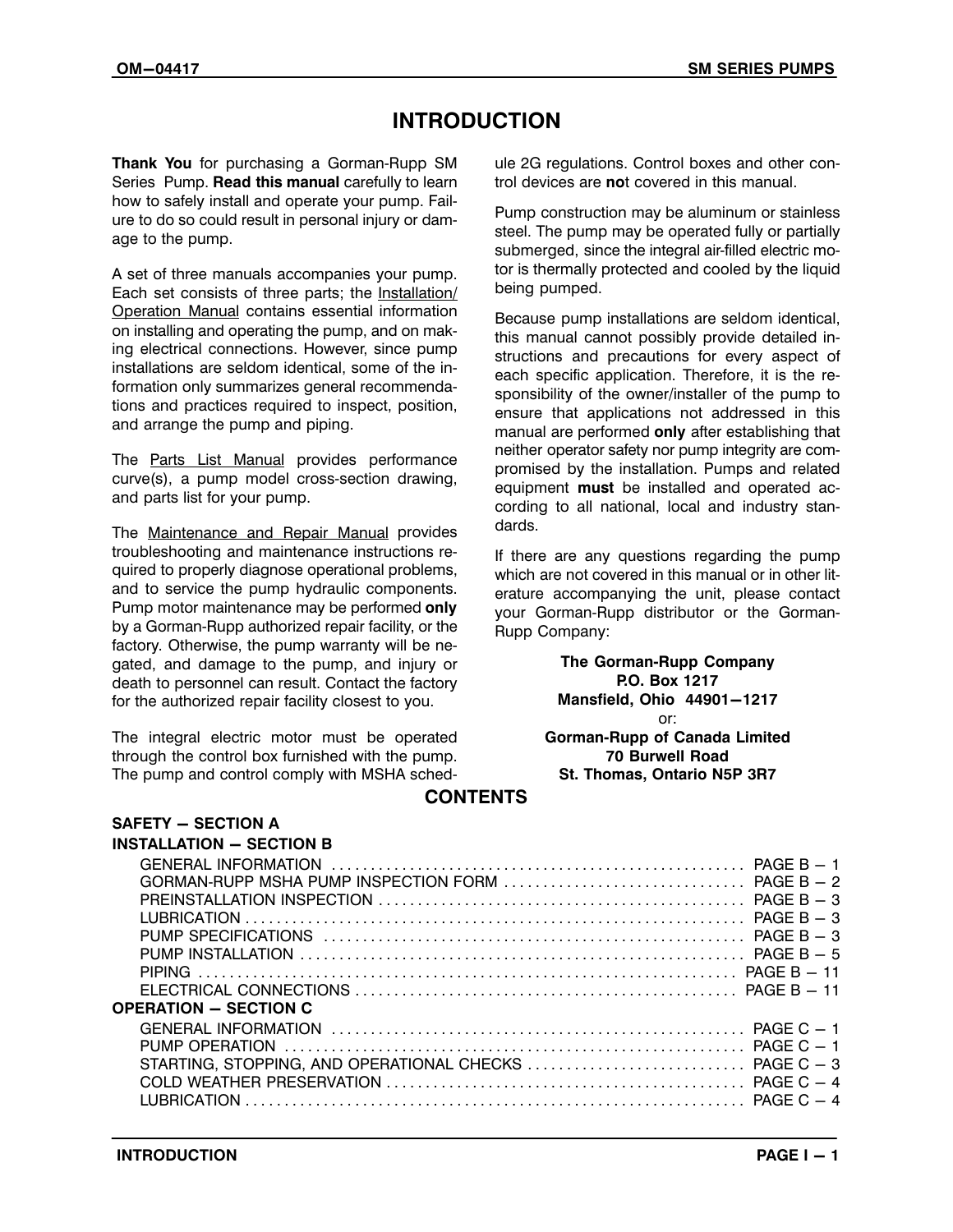# **INTRODUCTION**

**Thank You** for purchasing a Gorman‐Rupp SM Series Pump. **Read this manual** carefully to learn how to safely install and operate your pump. Failure to do so could result in personal injury or damage to the pump.

A set of three manuals accompanies your pump. Each set consists of three parts; the Installation/ Operation Manual contains essential information on installing and operating the pump, and on making electrical connections. However, since pump installations are seldom identical, some of the information only summarizes general recommendations and practices required to inspect, position, and arrange the pump and piping.

The Parts List Manual provides performance curve(s), a pump model cross‐section drawing, and parts list for your pump.

The Maintenance and Repair Manual provides troubleshooting and maintenance instructions required to properly diagnose operational problems, and to service the pump hydraulic components. Pump motor maintenance may be performed **only** by a Gorman‐Rupp authorized repair facility, or the factory. Otherwise, the pump warranty will be negated, and damage to the pump, and injury or death to personnel can result. Contact the factory for the authorized repair facility closest to you.

The integral electric motor must be operated through the control box furnished with the pump. The pump and control comply with MSHA schedule 2G regulations. Control boxes and other control devices are **no**t covered in this manual.

Pump construction may be aluminum or stainless steel. The pump may be operated fully or partially submerged, since the integral air-filled electric motor is thermally protected and cooled by the liquid being pumped.

Because pump installations are seldom identical, this manual cannot possibly provide detailed instructions and precautions for every aspect of each specific application. Therefore, it is the responsibility of the owner/installer of the pump to ensure that applications not addressed in this manual are performed **only** after establishing that neither operator safety nor pump integrity are compromised by the installation. Pumps and related equipment **must** be installed and operated according to all national, local and industry standards.

If there are any questions regarding the pump which are not covered in this manual or in other literature accompanying the unit, please contact your Gorman‐Rupp distributor or the Gorman‐ Rupp Company:

> **The Gorman‐Rupp Company P.O. Box 1217 Mansfield, Ohio 44901-1217** or: **Gorman‐Rupp of Canada Limited 70 Burwell Road St. Thomas, Ontario N5P 3R7**

#### **CONTENTS**

| <b>INSTALLATION - SECTION B</b> |  |
|---------------------------------|--|
|                                 |  |
|                                 |  |
|                                 |  |
|                                 |  |
|                                 |  |
|                                 |  |
|                                 |  |
|                                 |  |
| <b>OPERATION - SECTION C</b>    |  |
|                                 |  |
|                                 |  |
|                                 |  |
|                                 |  |
|                                 |  |
|                                 |  |

**SAFETY - SECTION A**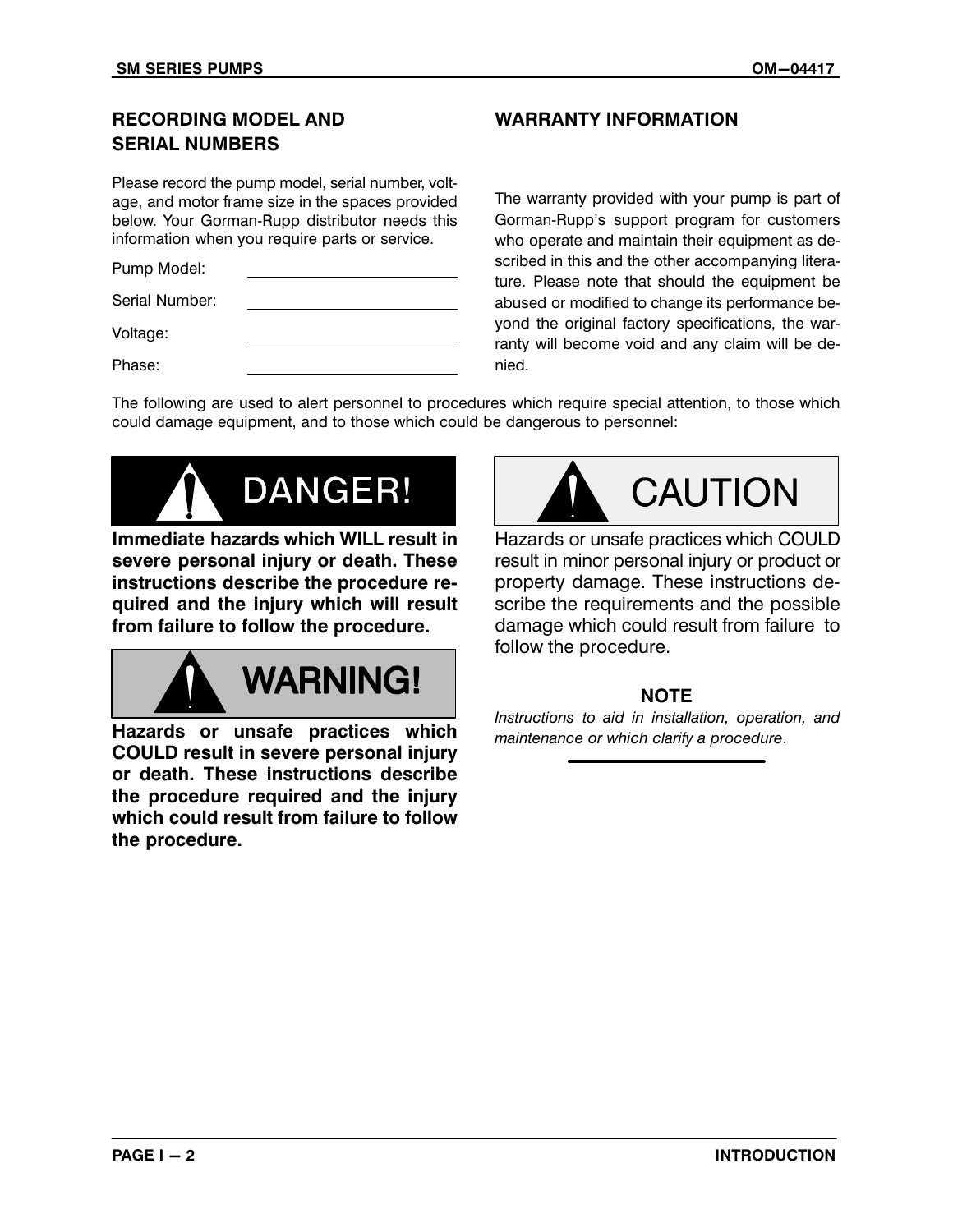# **RECORDING MODEL AND SERIAL NUMBERS**

Please record the pump model, serial number, voltage, and motor frame size in the spaces provided below. Your Gorman‐Rupp distributor needs this information when you require parts or service.

Pump Model:

Serial Number:

Voltage:

Phase:

#### **WARRANTY INFORMATION**

The warranty provided with your pump is part of Gorman‐Rupp's support program for customers who operate and maintain their equipment as described in this and the other accompanying literature. Please note that should the equipment be abused or modified to change its performance beyond the original factory specifications, the warranty will become void and any claim will be denied.

The following are used to alert personnel to procedures which require special attention, to those which could damage equipment, and to those which could be dangerous to personnel:



**Immediate hazards which WILL result in severe personal injury or death. These instructions describe the procedure required and the injury which will result from failure to follow the procedure.**



**Hazards or unsafe practices which COULD result in severe personal injury or death. These instructions describe the procedure required and the injury which could result from failure to follow the procedure.**



Hazards or unsafe practices which COULD result in minor personal injury or product or property damage. These instructions describe the requirements and the possible damage which could result from failure to follow the procedure.

# **NOTE**

*Instructions to aid in installation, operation, and maintenance or which clarify a procedure*.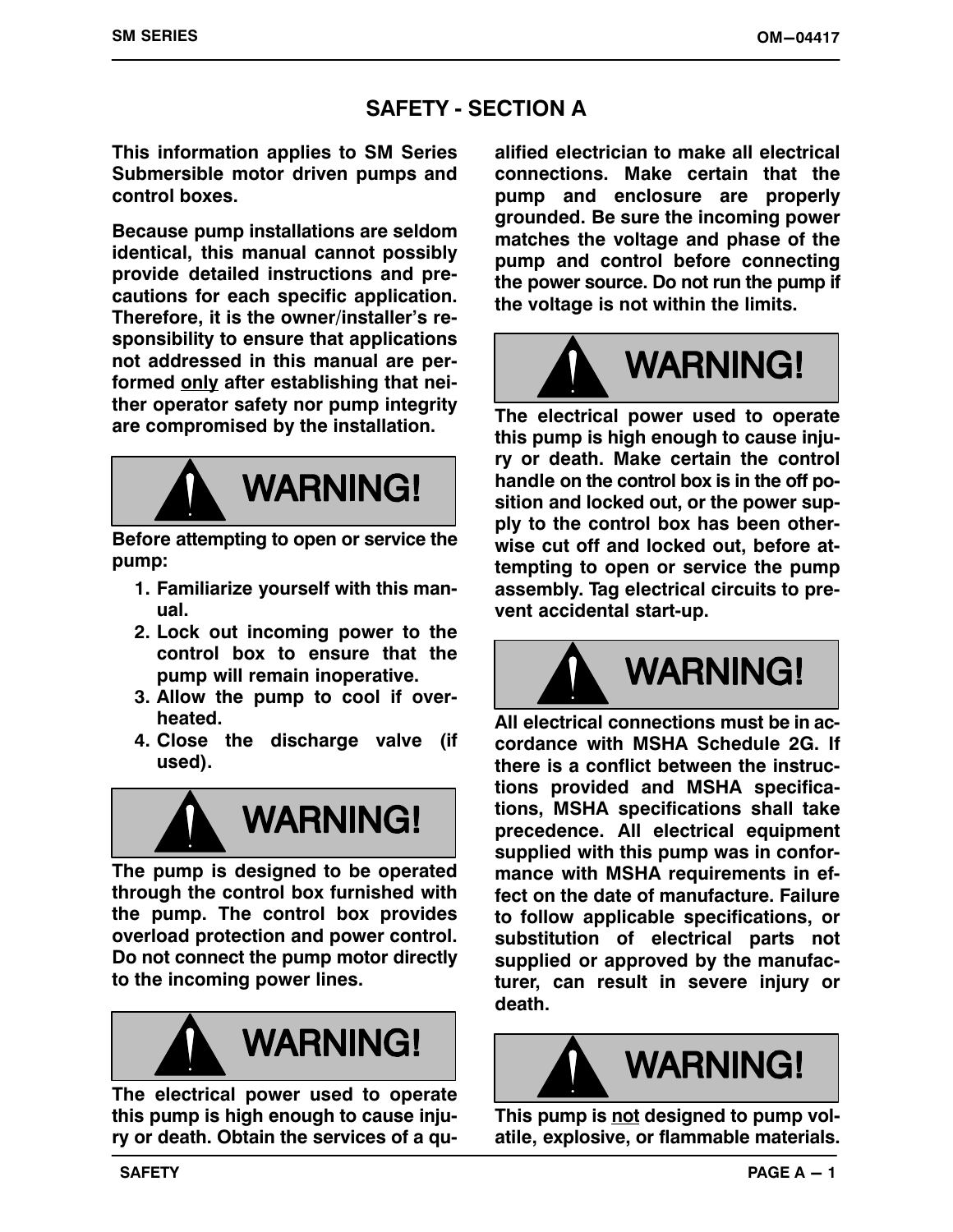# **SAFETY ‐ SECTION A**

**This information applies to SM Series Submersible motor driven pumps and control boxes.**

**Because pump installations are seldom identical, this manual cannot possibly provide detailed instructions and precautions for each specific application. Therefore, it is the owner/installer's responsibility to ensure that applications not addressed in this manual are performed only after establishing that neither operator safety nor pump integrity are compromised by the installation.**



**Before attempting to open or service the pump:**

- **1. Familiarize yourself with this manual.**
- **2. Lock out incoming power to the control box to ensure that the pump will remain inoperative.**
- **3. Allow the pump to cool if overheated.**
- **4. Close the discharge valve (if used).**



**The pump is designed to be operated through the control box furnished with the pump. The control box provides overload protection and power control. Do not connect the pump motor directly to the incoming power lines.**



**The electrical power used to operate this pump is high enough to cause injury or death. Obtain the services of a qu-**

**alified electrician to make all electrical connections. Make certain that the pump and enclosure are properly grounded. Be sure the incoming power matches the voltage and phase of the pump and control before connecting the power source. Do not run the pump if the voltage is not within the limits.**



**The electrical power used to operate this pump is high enough to cause injury or death. Make certain the control handle on the control box is in the off position and locked out, or the power supply to the control box has been otherwise cut off and locked out, before attempting to open or service the pump assembly. Tag electrical circuits to prevent accidental start‐up.**



**All electrical connections must be in accordance with MSHA Schedule 2G. If there is a conflict between the instructions provided and MSHA specifications, MSHA specifications shall take precedence. All electrical equipment supplied with this pump was in conformance with MSHA requirements in effect on the date of manufacture. Failure to follow applicable specifications, or substitution of electrical parts not supplied or approved by the manufacturer, can result in severe injury or death.**



**This pump is not designed to pump volatile, explosive, or flammable materials.**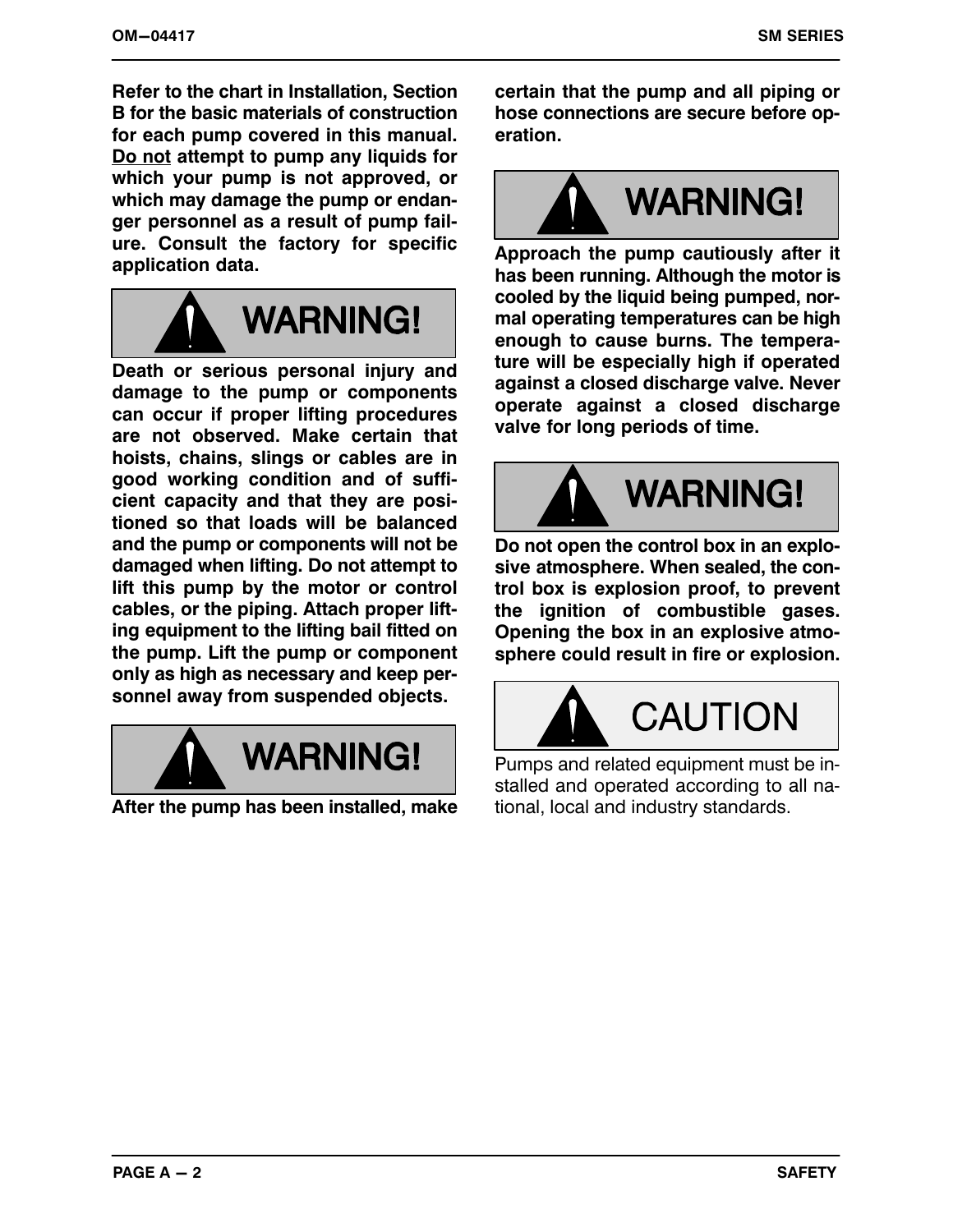**Refer to the chart in Installation, Section B for the basic materials of construction for each pump covered in this manual. Do not attempt to pump any liquids for which your pump is not approved, or which may damage the pump or endanger personnel as a result of pump failure. Consult the factory for specific application data.**



**Death or serious personal injury and damage to the pump or components can occur if proper lifting procedures are not observed. Make certain that hoists, chains, slings or cables are in good working condition and of sufficient capacity and that they are positioned so that loads will be balanced and the pump or components will not be damaged when lifting. Do not attempt to lift this pump by the motor or control cables, or the piping. Attach proper lifting equipment to the lifting bail fitted on the pump. Lift the pump or component only as high as necessary and keep personnel away from suspended objects.**



**After the pump has been installed, make**

**certain that the pump and all piping or hose connections are secure before operation.**



**Approach the pump cautiously after it has been running. Although the motor is cooled by the liquid being pumped, normal operating temperatures can be high enough to cause burns. The temperature will be especially high if operated against a closed discharge valve. Never operate against a closed discharge valve for long periods of time.**



**Do not open the control box in an explosive atmosphere. When sealed, the control box is explosion proof, to prevent the ignition of combustible gases. Opening the box in an explosive atmosphere could result in fire or explosion.**



Pumps and related equipment must be installed and operated according to all national, local and industry standards.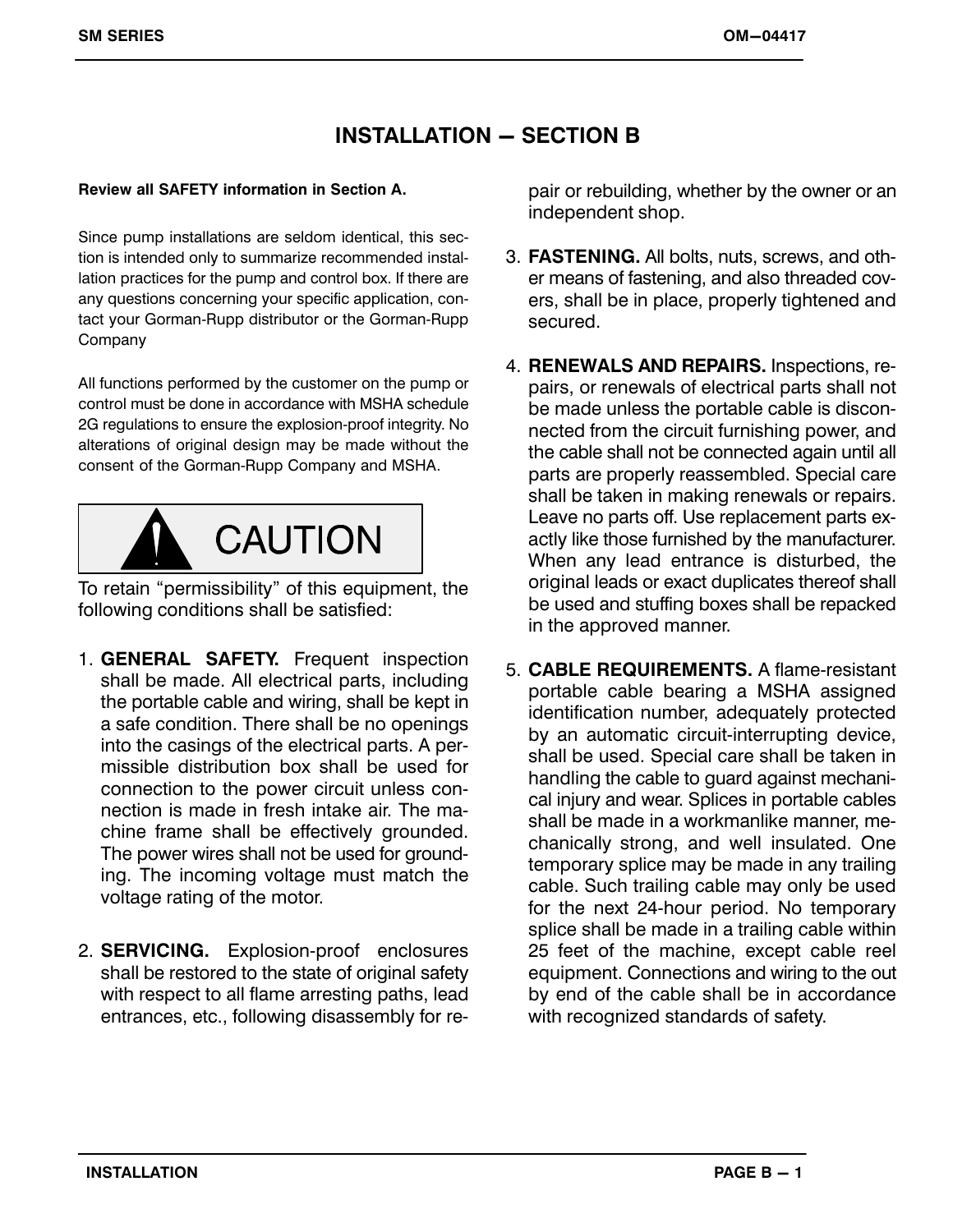# **INSTALLATION – SECTION B**

#### **Review all SAFETY information in Section A.**

Since pump installations are seldom identical, this section is intended only to summarize recommended installation practices for the pump and control box. If there are any questions concerning your specific application, contact your Gorman‐Rupp distributor or the Gorman‐Rupp **Company** 

All functions performed by the customer on the pump or control must be done in accordance with MSHA schedule 2G regulations to ensure the explosion‐proof integrity. No alterations of original design may be made without the consent of the Gorman‐Rupp Company and MSHA.



To retain "permissibility" of this equipment, the following conditions shall be satisfied:

- 1. **GENERAL SAFETY.** Frequent inspection shall be made. All electrical parts, including the portable cable and wiring, shall be kept in a safe condition. There shall be no openings into the casings of the electrical parts. A permissible distribution box shall be used for connection to the power circuit unless connection is made in fresh intake air. The machine frame shall be effectively grounded. The power wires shall not be used for grounding. The incoming voltage must match the voltage rating of the motor.
- 2. **SERVICING.** Explosion‐proof enclosures shall be restored to the state of original safety with respect to all flame arresting paths, lead entrances, etc., following disassembly for re-

pair or rebuilding, whether by the owner or an independent shop.

- 3. **FASTENING.** All bolts, nuts, screws, and other means of fastening, and also threaded covers, shall be in place, properly tightened and secured.
- 4. **RENEWALS AND REPAIRS.** Inspections, repairs, or renewals of electrical parts shall not be made unless the portable cable is disconnected from the circuit furnishing power, and the cable shall not be connected again until all parts are properly reassembled. Special care shall be taken in making renewals or repairs. Leave no parts off. Use replacement parts exactly like those furnished by the manufacturer. When any lead entrance is disturbed, the original leads or exact duplicates thereof shall be used and stuffing boxes shall be repacked in the approved manner.
- 5. **CABLE REQUIREMENTS.** A flame‐resistant portable cable bearing a MSHA assigned identification number, adequately protected by an automatic circuit‐interrupting device, shall be used. Special care shall be taken in handling the cable to guard against mechanical injury and wear. Splices in portable cables shall be made in a workmanlike manner, mechanically strong, and well insulated. One temporary splice may be made in any trailing cable. Such trailing cable may only be used for the next 24‐hour period. No temporary splice shall be made in a trailing cable within 25 feet of the machine, except cable reel equipment. Connections and wiring to the out by end of the cable shall be in accordance with recognized standards of safety.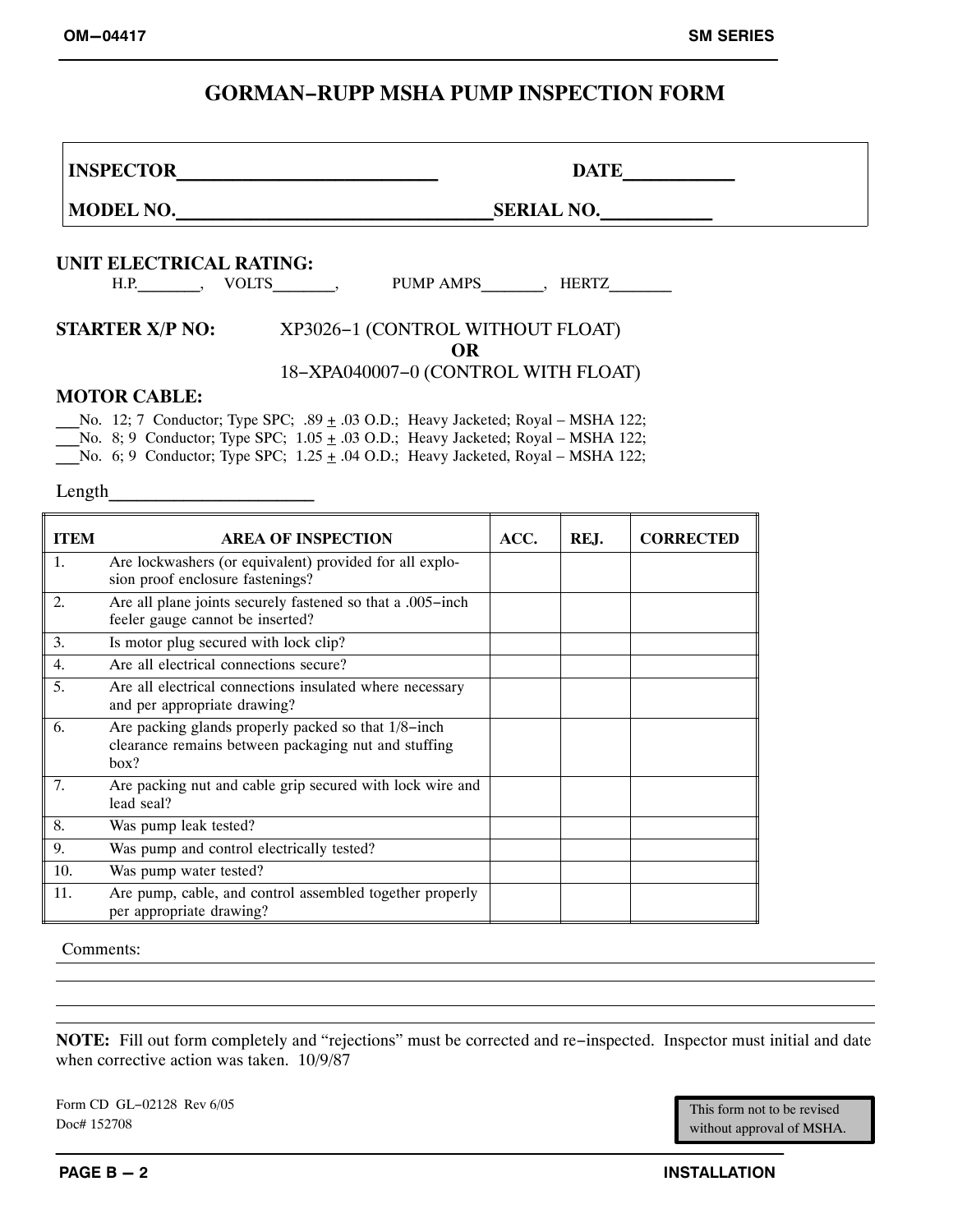# **GORMAN−RUPP MSHA PUMP INSPECTION FORM**

**INSPECTOR\_\_\_\_\_\_\_\_\_\_\_\_\_\_\_\_\_\_\_\_\_\_\_\_\_\_\_\_ DATE\_\_\_\_\_\_\_\_\_\_\_\_**

**MODEL NO.\_\_\_\_\_\_\_\_\_\_\_\_\_\_\_\_\_\_\_\_\_\_\_\_\_\_\_\_\_\_\_\_\_\_SERIAL NO.\_\_\_\_\_\_\_\_\_\_\_\_**

#### **UNIT ELECTRICAL RATING:**

H.P. \_\_\_\_\_\_\_, VOLTS\_\_\_\_\_\_\_\_, PUMP AMPS\_\_\_\_\_\_\_, HERTZ\_\_\_\_\_\_\_\_

#### **STARTER X/P NO:** XP3026−1 (CONTROL WITHOUT FLOAT) **OR** 18−XPA040007−0 (CONTROL WITH FLOAT)

#### **MOTOR CABLE:**

No. 12; 7 Conductor; Type SPC; .89  $\pm$  .03 O.D.; Heavy Jacketed; Royal – MSHA 122;

No. 8; 9 Conductor; Type SPC;  $1.05 \pm .03$  O.D.; Heavy Jacketed; Royal – MSHA 122;

**No.** 6; 9 Conductor; Type SPC;  $1.25 \pm .04$  O.D.; Heavy Jacketed, Royal – MSHA 122;

Length

| <b>ITEM</b> | <b>AREA OF INSPECTION</b>                                                                                           | ACC. | REJ. | <b>CORRECTED</b> |
|-------------|---------------------------------------------------------------------------------------------------------------------|------|------|------------------|
| 1.          | Are lockwashers (or equivalent) provided for all explo-<br>sion proof enclosure fastenings?                         |      |      |                  |
| 2.          | Are all plane joints securely fastened so that a .005-inch<br>feeler gauge cannot be inserted?                      |      |      |                  |
| 3.          | Is motor plug secured with lock clip?                                                                               |      |      |                  |
| 4.          | Are all electrical connections secure?                                                                              |      |      |                  |
| 5.          | Are all electrical connections insulated where necessary<br>and per appropriate drawing?                            |      |      |                  |
| 6.          | Are packing glands properly packed so that 1/8-inch<br>clearance remains between packaging nut and stuffing<br>box? |      |      |                  |
| 7.          | Are packing nut and cable grip secured with lock wire and<br>lead seal?                                             |      |      |                  |
| 8.          | Was pump leak tested?                                                                                               |      |      |                  |
| 9.          | Was pump and control electrically tested?                                                                           |      |      |                  |
| 10.         | Was pump water tested?                                                                                              |      |      |                  |
| 11.         | Are pump, cable, and control assembled together properly<br>per appropriate drawing?                                |      |      |                  |

Comments:

**NOTE:** Fill out form completely and "rejections" must be corrected and re−inspected. Inspector must initial and date when corrective action was taken. 10/9/87

Form CD GL−02128 Rev 6/05 Doc# 152708

This form not to be revised without approval of MSHA.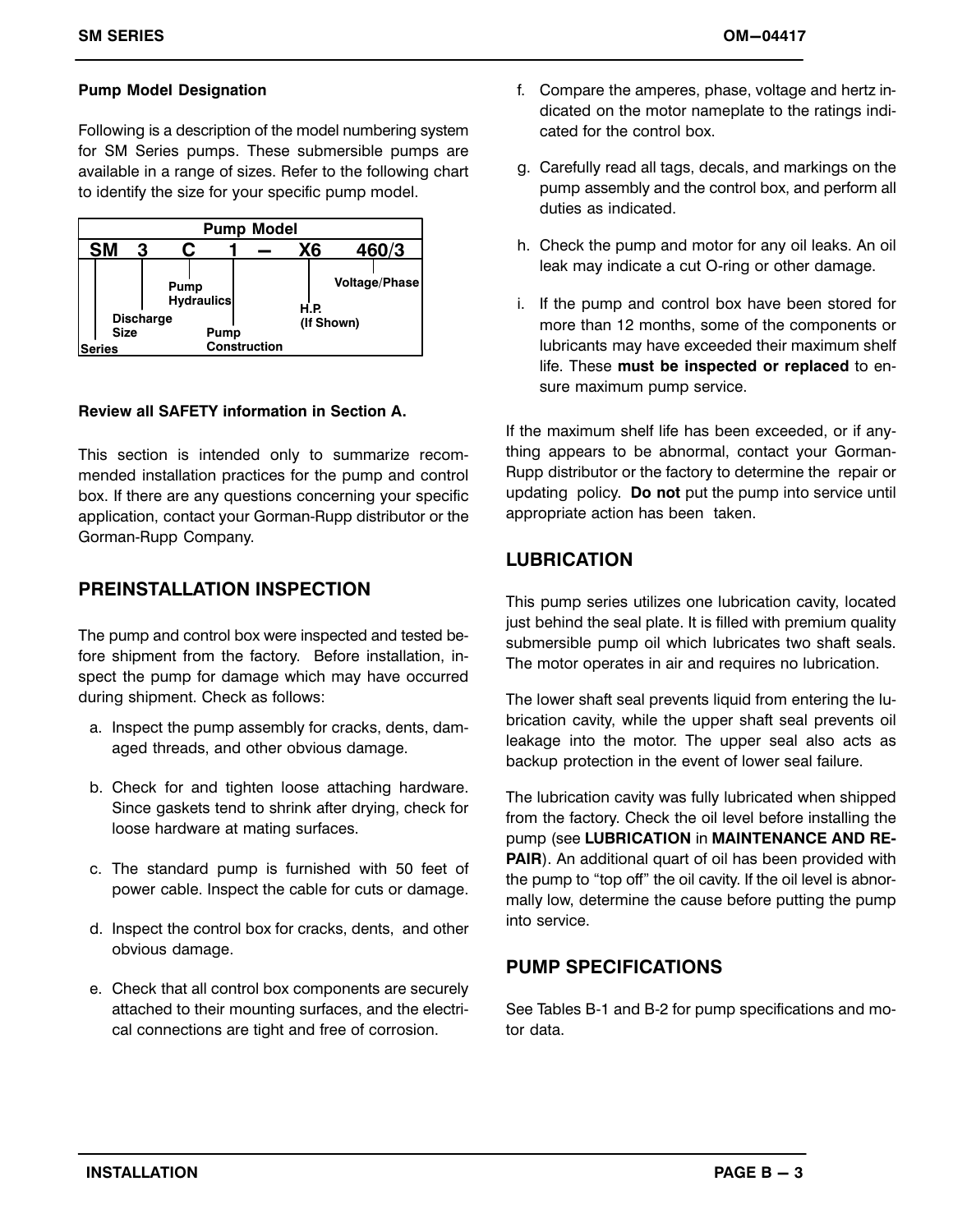#### **Pump Model Designation**

Following is a description of the model numbering system for SM Series pumps. These submersible pumps are available in a range of sizes. Refer to the following chart to identify the size for your specific pump model.



#### **Review all SAFETY information in Section A.**

This section is intended only to summarize recommended installation practices for the pump and control box. If there are any questions concerning your specific application, contact your Gorman‐Rupp distributor or the Gorman‐Rupp Company.

#### **PREINSTALLATION INSPECTION**

The pump and control box were inspected and tested before shipment from the factory. Before installation, inspect the pump for damage which may have occurred during shipment. Check as follows:

- a. Inspect the pump assembly for cracks, dents, damaged threads, and other obvious damage.
- b. Check for and tighten loose attaching hardware. Since gaskets tend to shrink after drying, check for loose hardware at mating surfaces.
- c. The standard pump is furnished with 50 feet of power cable. Inspect the cable for cuts or damage.
- d. Inspect the control box for cracks, dents, and other obvious damage.
- e. Check that all control box components are securely attached to their mounting surfaces, and the electrical connections are tight and free of corrosion.
- f. Compare the amperes, phase, voltage and hertz indicated on the motor nameplate to the ratings indicated for the control box.
- g. Carefully read all tags, decals, and markings on the pump assembly and the control box, and perform all duties as indicated.
- h. Check the pump and motor for any oil leaks. An oil leak may indicate a cut O‐ring or other damage.
- i. If the pump and control box have been stored for more than 12 months, some of the components or lubricants may have exceeded their maximum shelf life. These **must be inspected or replaced** to ensure maximum pump service.

If the maximum shelf life has been exceeded, or if anything appears to be abnormal, contact your Gorman‐ Rupp distributor or the factory to determine the repair or updating policy. **Do not** put the pump into service until appropriate action has been taken.

#### **LUBRICATION**

This pump series utilizes one lubrication cavity, located just behind the seal plate. It is filled with premium quality submersible pump oil which lubricates two shaft seals. The motor operates in air and requires no lubrication.

The lower shaft seal prevents liquid from entering the lubrication cavity, while the upper shaft seal prevents oil leakage into the motor. The upper seal also acts as backup protection in the event of lower seal failure.

The lubrication cavity was fully lubricated when shipped from the factory. Check the oil level before installing the pump (see **LUBRICATION** in **MAINTENANCE AND RE-PAIR**). An additional quart of oil has been provided with the pump to "top off" the oil cavity. If the oil level is abnormally low, determine the cause before putting the pump into service.

#### **PUMP SPECIFICATIONS**

See Tables B‐1 and B‐2 for pump specifications and motor data.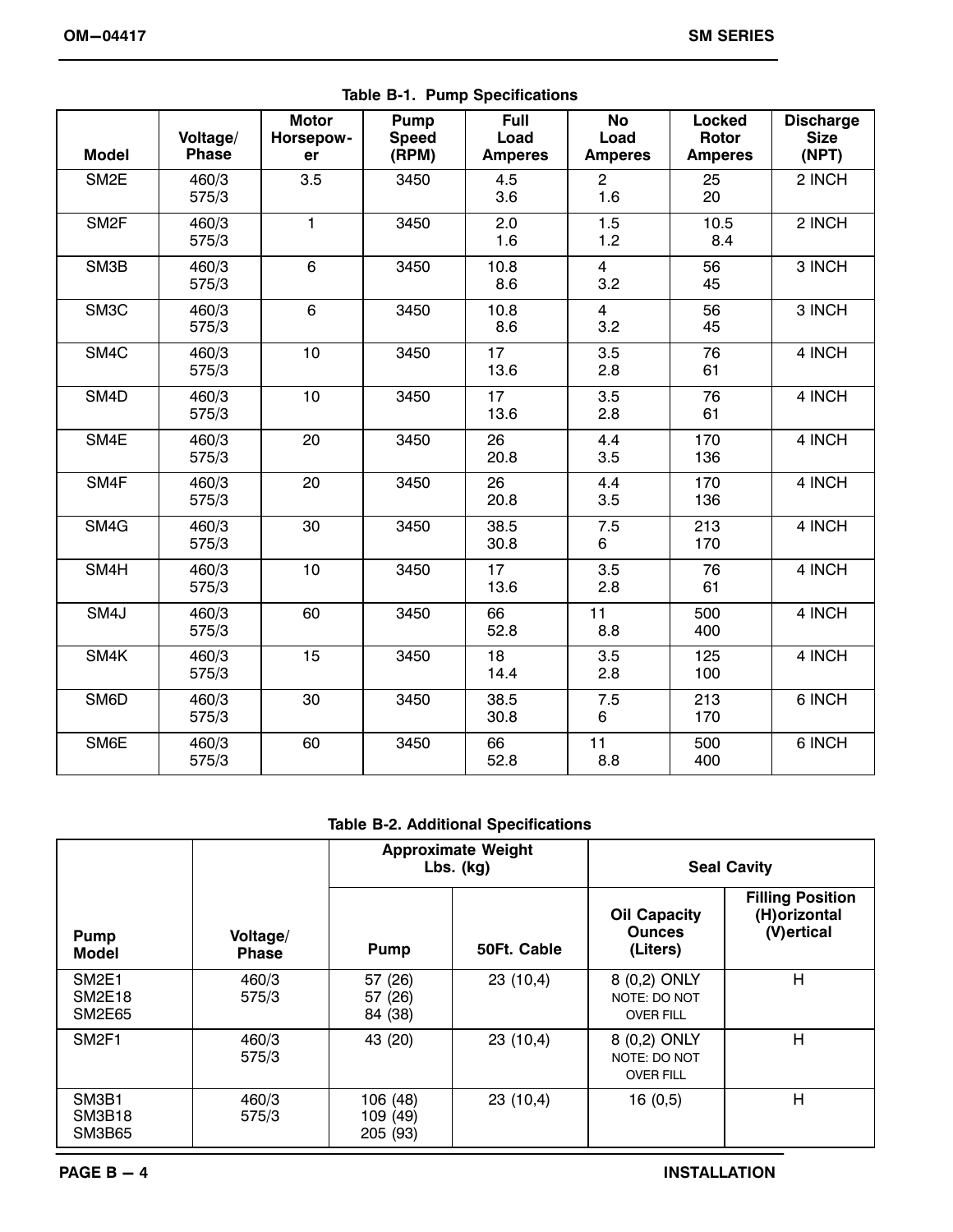| <b>Model</b>      | Voltage/<br><b>Phase</b> | <b>Motor</b><br>Horsepow-<br>er | Pump<br><b>Speed</b><br>(RPM) | <b>Full</b><br>Load<br><b>Amperes</b> | <b>No</b><br>Load<br><b>Amperes</b> | Locked<br>Rotor<br><b>Amperes</b> | <b>Discharge</b><br><b>Size</b><br>(NPT) |
|-------------------|--------------------------|---------------------------------|-------------------------------|---------------------------------------|-------------------------------------|-----------------------------------|------------------------------------------|
| SM <sub>2</sub> E | 460/3<br>575/3           | 3.5                             | 3450                          | 4.5<br>3.6                            | $\overline{2}$<br>1.6               | 25<br>20                          | 2 INCH                                   |
| SM <sub>2F</sub>  | 460/3<br>575/3           | $\mathbf{1}$                    | 3450                          | 2.0<br>1.6                            | 1.5<br>1.2                          | 10.5<br>8.4                       | 2 INCH                                   |
| SM3B              | 460/3<br>575/3           | 6                               | 3450                          | 10.8<br>8.6                           | $\overline{4}$<br>3.2               | 56<br>45                          | 3 INCH                                   |
| SM3C              | 460/3<br>575/3           | 6                               | 3450                          | 10.8<br>8.6                           | $\overline{4}$<br>3.2               | 56<br>45                          | 3 INCH                                   |
| SM4C              | 460/3<br>575/3           | 10                              | 3450                          | 17<br>13.6                            | 3.5<br>2.8                          | 76<br>61                          | 4 INCH                                   |
| SM <sub>4</sub> D | 460/3<br>575/3           | 10                              | 3450                          | 17<br>13.6                            | 3.5<br>2.8                          | 76<br>61                          | 4 INCH                                   |
| SM4E              | 460/3<br>575/3           | 20                              | 3450                          | 26<br>20.8                            | 4.4<br>3.5                          | 170<br>136                        | 4 INCH                                   |
| SM4F              | 460/3<br>575/3           | 20                              | 3450                          | 26<br>20.8                            | 4.4<br>3.5                          | 170<br>136                        | 4 INCH                                   |
| SM4G              | 460/3<br>575/3           | 30                              | 3450                          | 38.5<br>30.8                          | 7.5<br>6                            | 213<br>170                        | 4 INCH                                   |
| SM4H              | 460/3<br>575/3           | 10                              | 3450                          | 17<br>13.6                            | 3.5<br>2.8                          | 76<br>61                          | 4 INCH                                   |
| SM4J              | 460/3<br>575/3           | 60                              | 3450                          | 66<br>52.8                            | 11<br>8.8                           | 500<br>400                        | 4 INCH                                   |
| SM4K              | 460/3<br>575/3           | 15                              | 3450                          | 18<br>14.4                            | 3.5<br>2.8                          | 125<br>100                        | 4 INCH                                   |
| SM6D              | 460/3<br>575/3           | 30                              | 3450                          | 38.5<br>30.8                          | 7.5<br>6                            | 213<br>170                        | 6 INCH                                   |
| SM6E              | 460/3<br>575/3           | 60                              | 3450                          | 66<br>52.8                            | 11<br>8.8                           | 500<br>400                        | 6 INCH                                   |

**Table B‐1. Pump Specifications** 

#### **Table B‐2. Additional Specifications**

|                                                     |                          |                                  | <b>Approximate Weight</b><br>$Lbs.$ (kg) | <b>Seal Cavity</b>                               |                                                         |  |
|-----------------------------------------------------|--------------------------|----------------------------------|------------------------------------------|--------------------------------------------------|---------------------------------------------------------|--|
| <b>Pump</b><br>Model                                | Voltage/<br><b>Phase</b> | <b>Pump</b>                      | 50Ft. Cable                              | <b>Oil Capacity</b><br><b>Ounces</b><br>(Liters) | <b>Filling Position</b><br>(H) orizontal<br>(V) ertical |  |
| SM <sub>2E1</sub><br><b>SM2E18</b><br><b>SM2E65</b> | 460/3<br>575/3           | 57 (26)<br>57 (26)<br>84 (38)    | 23(10,4)                                 | 8 (0,2) ONLY<br>NOTE: DO NOT<br><b>OVER FILL</b> | H                                                       |  |
| SM <sub>2F1</sub>                                   | 460/3<br>575/3           | 43 (20)                          | 23(10,4)                                 | 8 (0,2) ONLY<br>NOTE: DO NOT<br><b>OVER FILL</b> | H                                                       |  |
| SM3B1<br><b>SM3B18</b><br><b>SM3B65</b>             | 460/3<br>575/3           | 106 (48)<br>109 (49)<br>205 (93) | 23(10,4)                                 | 16(0,5)                                          | Н                                                       |  |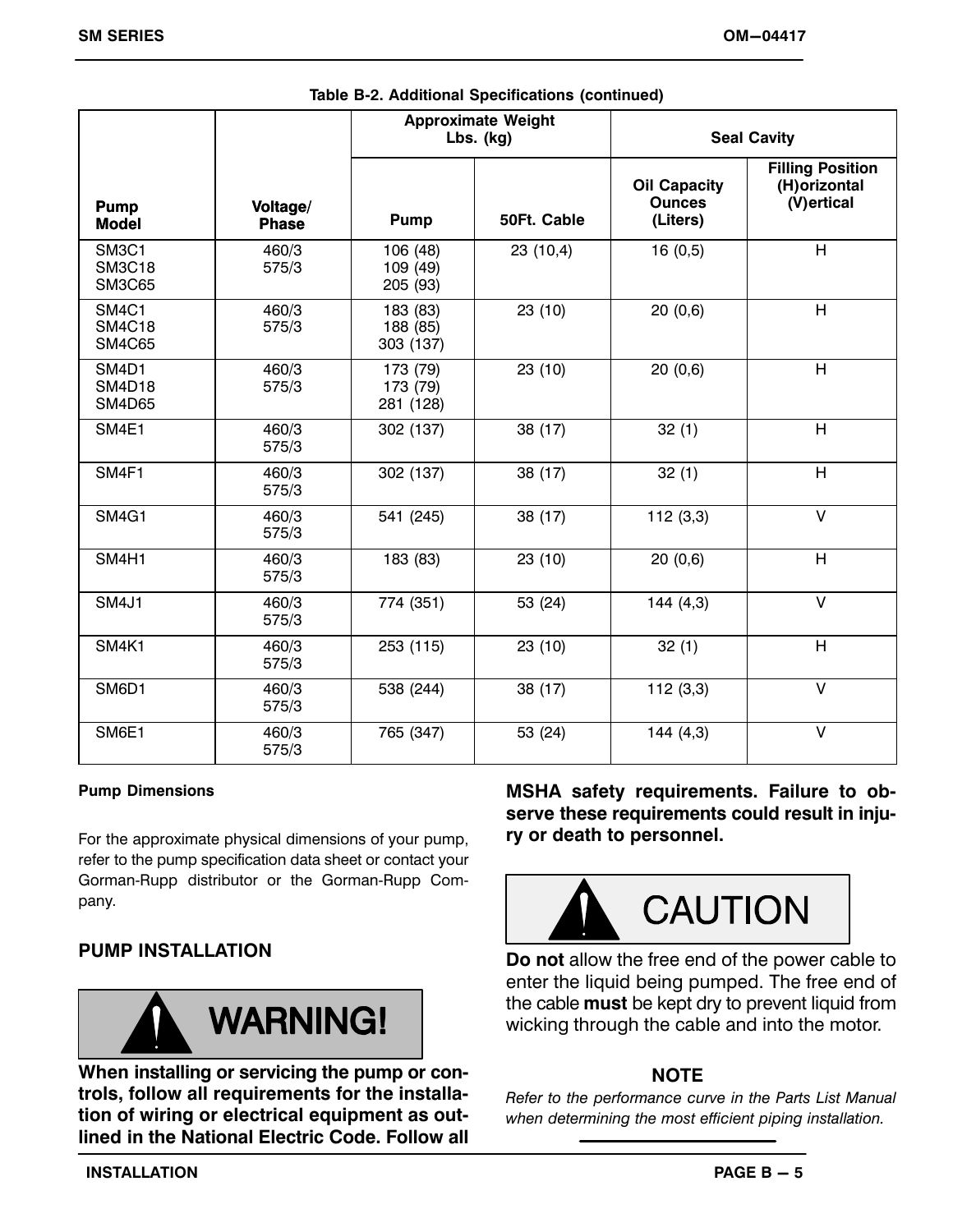|                                                                  |                          |                                   | <b>Approximate Weight</b><br>$Lbs.$ (kg) | <b>Seal Cavity</b>                               |                                                         |  |
|------------------------------------------------------------------|--------------------------|-----------------------------------|------------------------------------------|--------------------------------------------------|---------------------------------------------------------|--|
| Pump<br><b>Model</b>                                             | Voltage/<br><b>Phase</b> | <b>Pump</b>                       | 50Ft. Cable                              | <b>Oil Capacity</b><br><b>Ounces</b><br>(Liters) | <b>Filling Position</b><br>(H) orizontal<br>(V) ertical |  |
| SM <sub>3</sub> C <sub>1</sub><br><b>SM3C18</b><br><b>SM3C65</b> | 460/3<br>575/3           | 106 (48)<br>109 (49)<br>205 (93)  | 23(10,4)                                 | 16(0,5)                                          | H                                                       |  |
| SM4C1<br><b>SM4C18</b><br><b>SM4C65</b>                          | 460/3<br>575/3           | 183 (83)<br>188 (85)<br>303 (137) | 23 (10)                                  | 20(0,6)                                          | H                                                       |  |
| SM <sub>4</sub> D <sub>1</sub><br><b>SM4D18</b><br><b>SM4D65</b> | 460/3<br>575/3           | 173 (79)<br>173 (79)<br>281 (128) | 23 (10)                                  | 20(0,6)                                          | H                                                       |  |
| SM4E1                                                            | 460/3<br>575/3           | 302 (137)                         | 38 (17)                                  | 32(1)                                            | H                                                       |  |
| SM4F1                                                            | 460/3<br>575/3           | 302 (137)                         | 38 (17)                                  | 32(1)                                            | H                                                       |  |
| <b>SM4G1</b>                                                     | 460/3<br>575/3           | 541 (245)                         | 38 (17)                                  | 112(3,3)                                         | $\vee$                                                  |  |
| SM4H1                                                            | 460/3<br>575/3           | 183 (83)                          | 23 (10)                                  | 20(0,6)                                          | H                                                       |  |
| <b>SM4J1</b>                                                     | 460/3<br>575/3           | 774 (351)                         | 53 (24)                                  | 144(4,3)                                         | $\vee$                                                  |  |
| SM4K1                                                            | 460/3<br>575/3           | 253 (115)                         | 23 (10)                                  | 32(1)                                            | H                                                       |  |
| SM6D1                                                            | 460/3<br>575/3           | 538 (244)                         | 38 (17)                                  | 112(3,3)                                         | $\vee$                                                  |  |
| SM6E1                                                            | 460/3<br>575/3           | 765 (347)                         | 53 (24)                                  | 144(4,3)                                         | $\sf V$                                                 |  |

|  | Table B-2. Additional Specifications (continued) |  |
|--|--------------------------------------------------|--|
|--|--------------------------------------------------|--|

#### **Pump Dimensions**

For the approximate physical dimensions of your pump, refer to the pump specification data sheet or contact your Gorman‐Rupp distributor or the Gorman‐Rupp Company.

# **PUMP INSTALLATION**



**When installing or servicing the pump or controls, follow all requirements for the installation of wiring or electrical equipment as outlined in the National Electric Code. Follow all** **MSHA safety requirements. Failure to observe these requirements could result in injury or death to personnel.**



**Do not** allow the free end of the power cable to enter the liquid being pumped. The free end of the cable **must** be kept dry to prevent liquid from wicking through the cable and into the motor.

# **NOTE**

*Refer to the performance curve in the Parts List Manual when determining the most efficient piping installation.*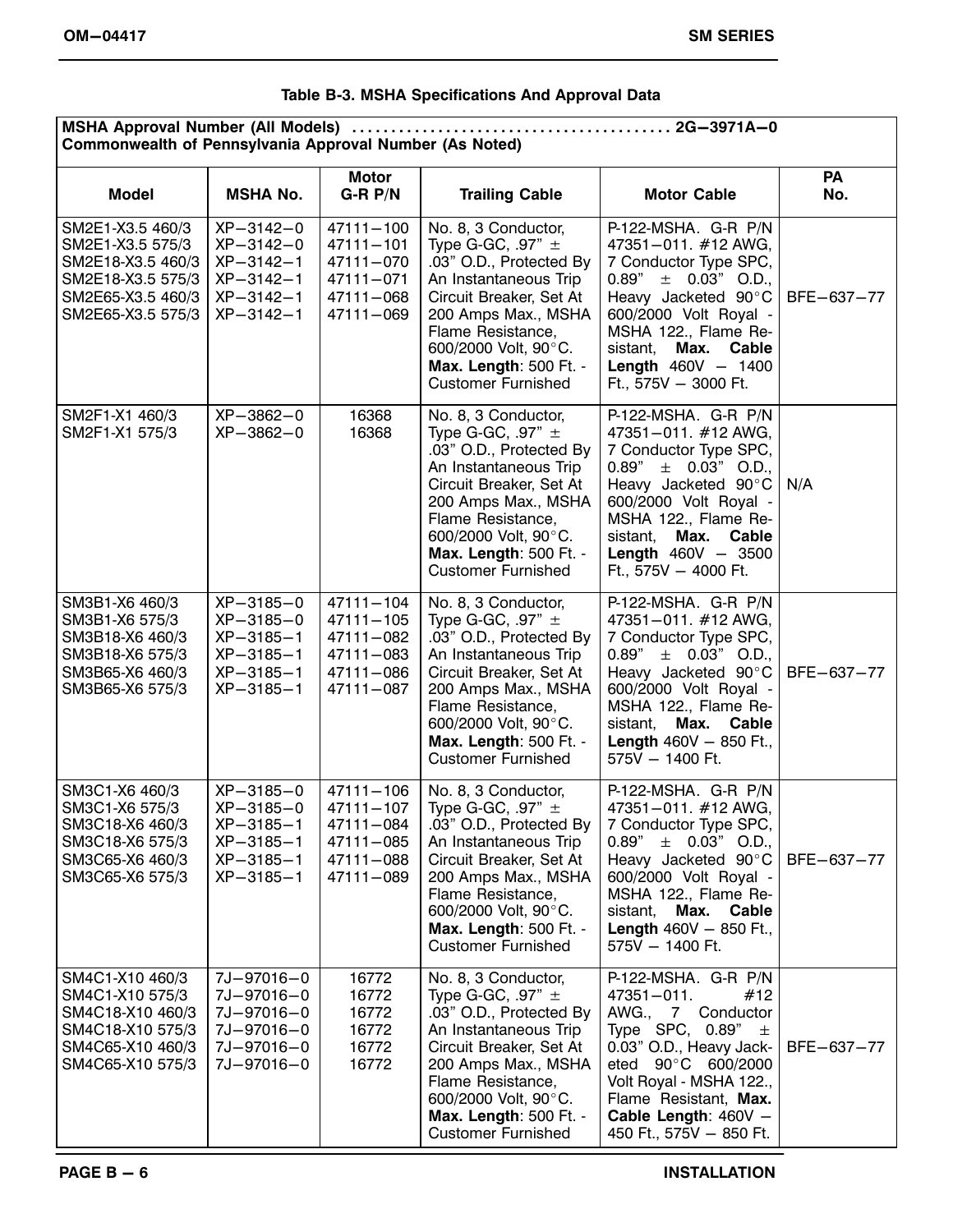|  |  | Table B-3. MSHA Specifications And Approval Data |  |  |  |
|--|--|--------------------------------------------------|--|--|--|
|--|--|--------------------------------------------------|--|--|--|

| Commonwealth of Pennsylvania Approval Number (As Noted)                                                                  |                                                                                                      |                                                                                |                                                                                                                                                                                                                                                        |                                                                                                                                                                                                                                                           |                  |  |
|--------------------------------------------------------------------------------------------------------------------------|------------------------------------------------------------------------------------------------------|--------------------------------------------------------------------------------|--------------------------------------------------------------------------------------------------------------------------------------------------------------------------------------------------------------------------------------------------------|-----------------------------------------------------------------------------------------------------------------------------------------------------------------------------------------------------------------------------------------------------------|------------------|--|
| <b>Model</b>                                                                                                             | <b>MSHA No.</b>                                                                                      | <b>Motor</b><br>$G-R P/N$                                                      | <b>Trailing Cable</b>                                                                                                                                                                                                                                  | <b>Motor Cable</b>                                                                                                                                                                                                                                        | <b>PA</b><br>No. |  |
| SM2E1-X3.5 460/3<br>SM2E1-X3.5 575/3<br>SM2E18-X3.5 460/3<br>SM2E18-X3.5 575/3<br>SM2E65-X3.5 460/3<br>SM2E65-X3.5 575/3 | $XP-3142-0$<br>$XP - 3142 - 0$<br>$XP-3142-1$<br>$XP - 3142 - 1$<br>$XP - 3142 - 1$<br>$XP-3142-1$   | 47111-100<br>$47111 - 101$<br>47111-070<br>47111-071<br>47111-068<br>47111-069 | No. 8, 3 Conductor,<br>Type G-GC, .97" $\pm$<br>.03" O.D., Protected By<br>An Instantaneous Trip<br>Circuit Breaker, Set At<br>200 Amps Max., MSHA<br>Flame Resistance,<br>600/2000 Volt, 90°C.<br>Max. Length: 500 Ft. -<br><b>Customer Furnished</b> | P-122-MSHA. G-R P/N<br>47351-011. #12 AWG,<br>7 Conductor Type SPC,<br>$0.89'' \pm 0.03''$ O.D.,<br>Heavy Jacketed 90°C<br>600/2000 Volt Royal -<br>MSHA 122., Flame Re-<br>Max. Cable<br>sistant,<br><b>Length 460V - 1400</b><br>Ft., 575V - 3000 Ft.   | BFE-637-77       |  |
| SM2F1-X1 460/3<br>SM2F1-X1 575/3                                                                                         | $XP-3862-0$<br>$XP - 3862 - 0$                                                                       | 16368<br>16368                                                                 | No. 8, 3 Conductor,<br>Type G-GC, .97" $\pm$<br>.03" O.D., Protected By<br>An Instantaneous Trip<br>Circuit Breaker, Set At<br>200 Amps Max., MSHA<br>Flame Resistance,<br>600/2000 Volt, 90°C.<br>Max. Length: 500 Ft. -<br><b>Customer Furnished</b> | P-122-MSHA. G-R P/N<br>47351-011. #12 AWG.<br>7 Conductor Type SPC,<br>$0.89'' \pm 0.03''$ O.D.,<br>Heavy Jacketed 90°C<br>600/2000 Volt Royal -<br>MSHA 122., Flame Re-<br>Max. Cable<br>sistant.<br><b>Length 460V - 3500</b><br>Ft., 575V - 4000 Ft.   | N/A              |  |
| SM3B1-X6 460/3<br>SM3B1-X6 575/3<br>SM3B18-X6 460/3<br>SM3B18-X6 575/3<br>SM3B65-X6 460/3<br>SM3B65-X6 575/3             | XP-3185-0<br>$XP - 3185 - 0$<br>$XP - 3185 - 1$<br>$XP-3185-1$<br>$XP-3185-1$<br>$XP - 3185 - 1$     | 47111-104<br>47111-105<br>47111-082<br>47111-083<br>47111-086<br>47111-087     | No. 8, 3 Conductor,<br>Type G-GC, .97" $\pm$<br>.03" O.D., Protected By<br>An Instantaneous Trip<br>Circuit Breaker, Set At<br>200 Amps Max., MSHA<br>Flame Resistance,<br>600/2000 Volt, 90°C.<br>Max. Length: 500 Ft. -<br><b>Customer Furnished</b> | P-122-MSHA. G-R P/N<br>47351-011. #12 AWG,<br>7 Conductor Type SPC,<br>$0.89" \pm 0.03"$ O.D.,<br>Heavy Jacketed 90°C<br>600/2000 Volt Royal -<br>MSHA 122., Flame Re-<br>Max. Cable<br>sistant,<br><b>Length 460V - 850 Ft.,</b><br>575V - 1400 Ft.      | BFE-637-77       |  |
| SM3C1-X6 460/3<br>SM3C1-X6 575/3<br>SM3C18-X6 460/3<br>SM3C18-X6 575/3<br>SM3C65-X6 460/3<br>SM3C65-X6 575/3             | XP-3185-0<br>$XP - 3185 - 0$<br>$XP - 3185 - 1$<br>$XP - 3185 - 1$<br>$XP-3185-1$<br>$XP - 3185 - 1$ | 47111-106<br>47111-107<br>47111-084<br>47111-085<br>47111-088<br>47111-089     | No. 8, 3 Conductor,<br>Type G-GC, .97" $\pm$<br>.03" O.D., Protected By<br>An Instantaneous Trip<br>Circuit Breaker, Set At<br>200 Amps Max., MSHA<br>Flame Resistance,<br>600/2000 Volt, 90°C.<br>Max. Length: 500 Ft. -<br><b>Customer Furnished</b> | P-122-MSHA. G-R P/N<br>47351-011. #12 AWG,<br>7 Conductor Type SPC,<br>$\pm$ 0.03" O.D.,<br>0.89"<br>Heavy Jacketed 90°C<br>600/2000 Volt Royal -<br>MSHA 122., Flame Re-<br>sistant,<br>Max. Cable<br><b>Length</b> $460V - 850$ Ft.,<br>575V - 1400 Ft. | BFE-637-77       |  |
| SM4C1-X10 460/3<br>SM4C1-X10 575/3<br>SM4C18-X10 460/3<br>SM4C18-X10 575/3<br>SM4C65-X10 460/3<br>SM4C65-X10 575/3       | 7J-97016-0<br>7J-97016-0<br>7J-97016-0<br>7J-97016-0<br>7J-97016-0<br>7J-97016-0                     | 16772<br>16772<br>16772<br>16772<br>16772<br>16772                             | No. 8, 3 Conductor,<br>Type G-GC, .97" $\pm$<br>.03" O.D., Protected By<br>An Instantaneous Trip<br>Circuit Breaker, Set At<br>200 Amps Max., MSHA<br>Flame Resistance,<br>600/2000 Volt, 90°C.<br>Max. Length: 500 Ft. -<br><b>Customer Furnished</b> | P-122-MSHA. G-R P/N<br>47351-011.<br>#12<br>AWG., 7 Conductor<br>Type SPC, $0.89" \pm$<br>0.03" O.D., Heavy Jack-<br>eted 90°C 600/2000<br>Volt Royal - MSHA 122.,<br>Flame Resistant, Max.<br>Cable Length: 460V -<br>450 Ft., 575V - 850 Ft.            | BFE-637-77       |  |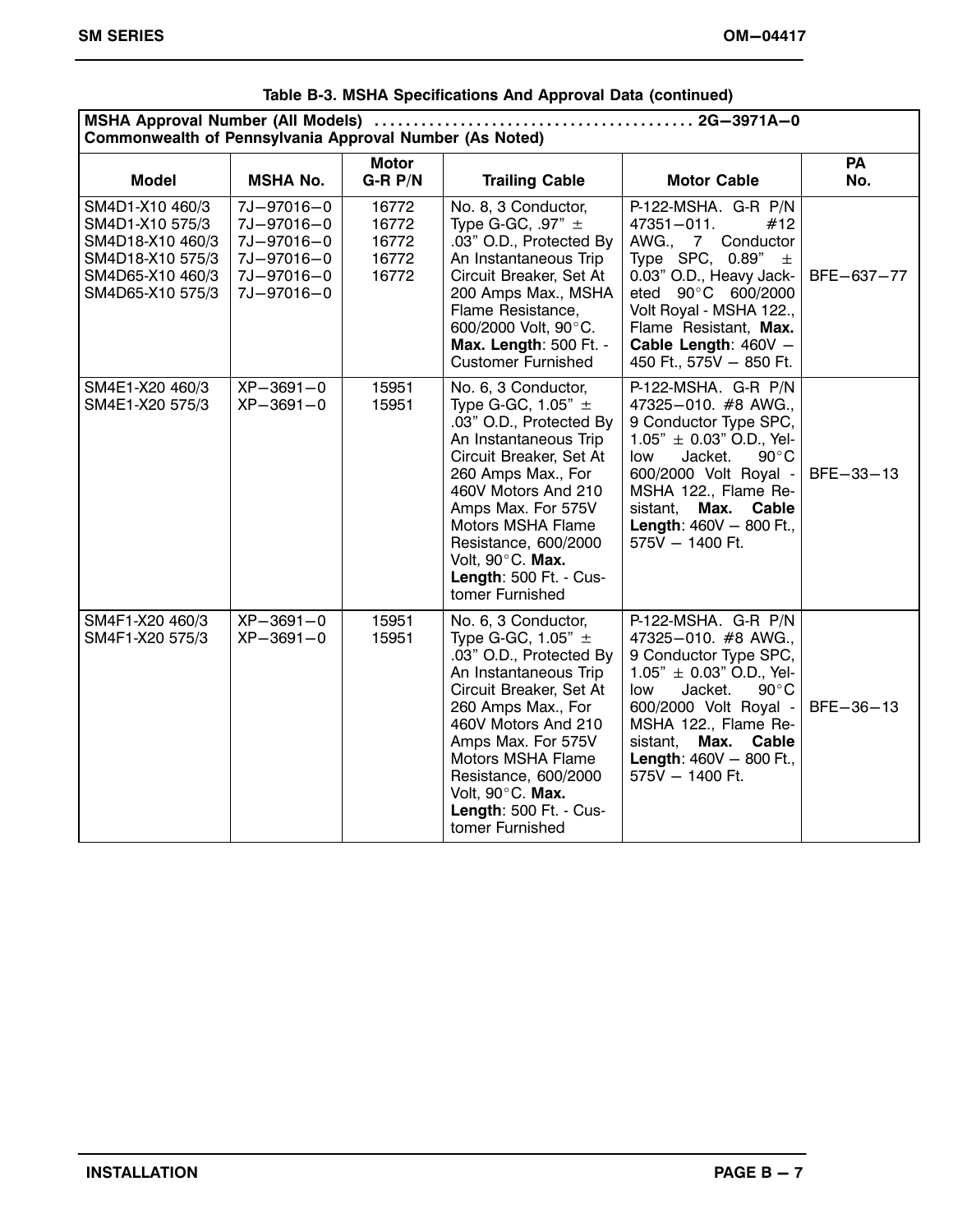| Commonwealth of Pennsylvania Approval Number (As Noted)                                                            |                                                                                  |                                           |                                                                                                                                                                                                                                                                                                                             |                                                                                                                                                                                                                                                                                         |                  |  |
|--------------------------------------------------------------------------------------------------------------------|----------------------------------------------------------------------------------|-------------------------------------------|-----------------------------------------------------------------------------------------------------------------------------------------------------------------------------------------------------------------------------------------------------------------------------------------------------------------------------|-----------------------------------------------------------------------------------------------------------------------------------------------------------------------------------------------------------------------------------------------------------------------------------------|------------------|--|
| <b>Model</b>                                                                                                       | <b>MSHA No.</b>                                                                  | <b>Motor</b><br>$G-R P/N$                 | <b>Trailing Cable</b>                                                                                                                                                                                                                                                                                                       | <b>Motor Cable</b>                                                                                                                                                                                                                                                                      | <b>PA</b><br>No. |  |
| SM4D1-X10 460/3<br>SM4D1-X10 575/3<br>SM4D18-X10 460/3<br>SM4D18-X10 575/3<br>SM4D65-X10 460/3<br>SM4D65-X10 575/3 | 7J-97016-0<br>7J-97016-0<br>7J-97016-0<br>7J-97016-0<br>7J-97016-0<br>7J-97016-0 | 16772<br>16772<br>16772<br>16772<br>16772 | No. 8, 3 Conductor,<br>Type G-GC, $.97" \pm$<br>.03" O.D., Protected By<br>An Instantaneous Trip<br>Circuit Breaker, Set At<br>200 Amps Max., MSHA<br>Flame Resistance,<br>600/2000 Volt, 90°C.<br>Max. Length: 500 Ft. -<br><b>Customer Furnished</b>                                                                      | P-122-MSHA. G-R P/N<br>$47351 - 011.$<br>#12<br>AWG., 7 Conductor<br>Type SPC, $0.89" \pm$<br>0.03" O.D., Heavy Jack-<br>eted 90°C 600/2000<br>Volt Royal - MSHA 122.,<br>Flame Resistant, Max.<br>Cable Length: 460V -<br>450 Ft., 575V - 850 Ft.                                      | BFE-637-77       |  |
| SM4E1-X20 460/3<br>SM4E1-X20 575/3                                                                                 | $XP - 3691 - 0$<br>$XP-3691-0$                                                   | 15951<br>15951                            | No. 6, 3 Conductor,<br>Type G-GC, 1.05" $\pm$<br>.03" O.D., Protected By<br>An Instantaneous Trip<br>Circuit Breaker, Set At<br>260 Amps Max., For<br>460V Motors And 210<br>Amps Max. For 575V<br><b>Motors MSHA Flame</b><br>Resistance, 600/2000<br>Volt, 90°C. Max.<br><b>Length: 500 Ft. - Cus-</b><br>tomer Furnished | P-122-MSHA. G-R P/N<br>47325-010. #8 AWG.,<br>9 Conductor Type SPC,<br>$1.05" \pm 0.03"$ O.D., Yel-<br>Jacket.<br>low<br>$90^{\circ}$ C<br>600/2000 Volt Royal -<br>MSHA 122., Flame Re-<br>sistant,<br>Max.<br>Cable<br><b>Length: <math>460V - 800</math> Ft.,</b><br>575V - 1400 Ft. | BFE-33-13        |  |
| SM4F1-X20 460/3<br>SM4F1-X20 575/3                                                                                 | $XP - 3691 - 0$<br>$XP-3691-0$                                                   | 15951<br>15951                            | No. 6, 3 Conductor,<br>Type G-GC, 1.05" $\pm$<br>.03" O.D., Protected By<br>An Instantaneous Trip<br>Circuit Breaker, Set At<br>260 Amps Max., For<br>460V Motors And 210<br>Amps Max. For 575V<br>Motors MSHA Flame<br>Resistance, 600/2000<br>Volt, 90°C. Max.<br>Length: 500 Ft. - Cus-<br>tomer Furnished               | P-122-MSHA. G-R P/N<br>47325-010. #8 AWG.,<br>9 Conductor Type SPC,<br>$1.05" \pm 0.03"$ O.D., Yel-<br>Jacket.<br>$90^{\circ}$ C<br>low<br>600/2000 Volt Royal -<br>MSHA 122., Flame Re-<br>Max.<br>sistant,<br>Cable<br><b>Length: <math>460V - 800</math> Ft.,</b><br>575V - 1400 Ft. | $BFE-36-13$      |  |

# **Table B‐3. MSHA Specifications And Approval Data (continued)**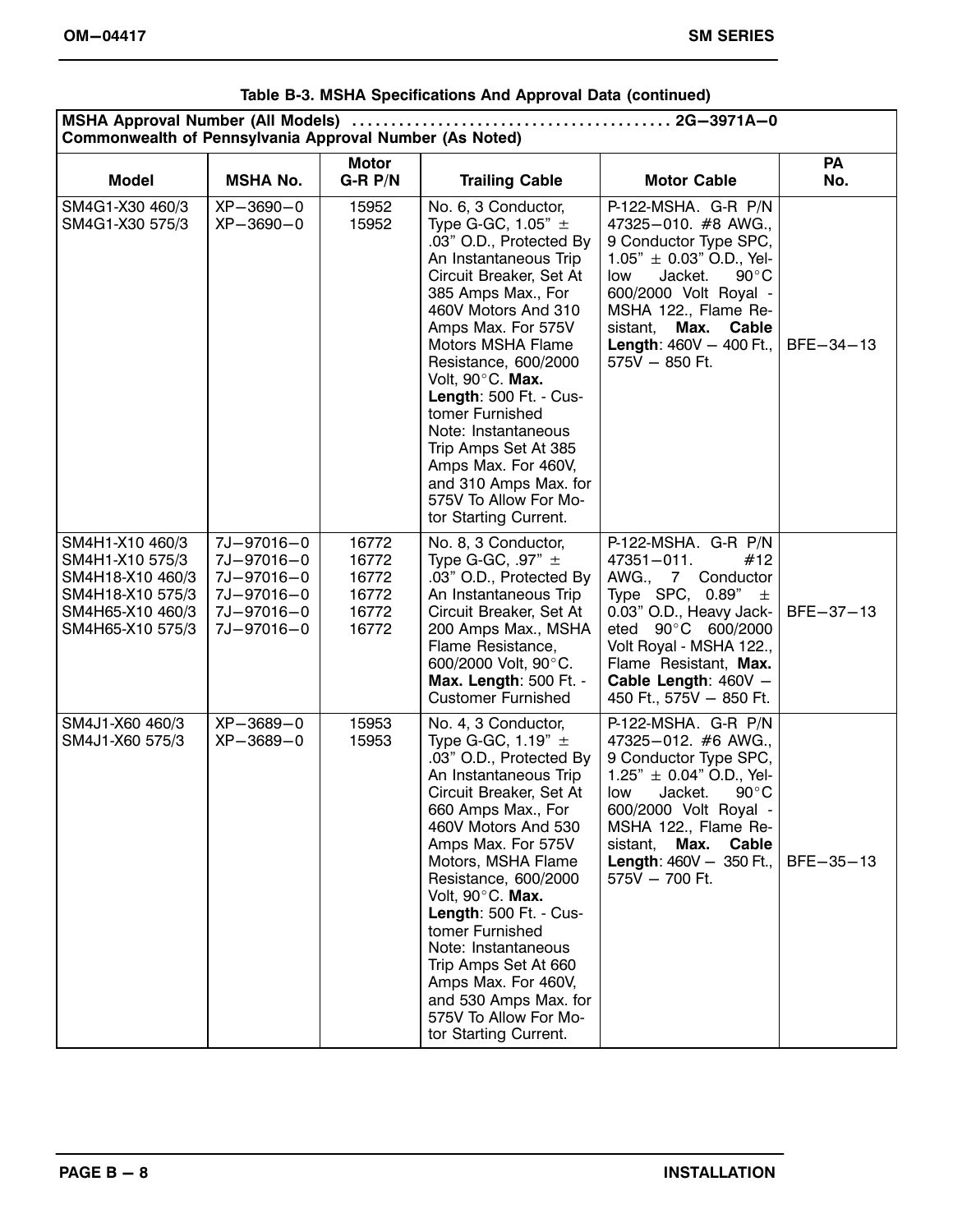| Commonwealth of Pennsylvania Approval Number (As Noted)                                                            |                                                                                  |                                                    |                                                                                                                                                                                                                                                                                                                                                                                                                                                                 |                                                                                                                                                                                                                                                                             |           |  |
|--------------------------------------------------------------------------------------------------------------------|----------------------------------------------------------------------------------|----------------------------------------------------|-----------------------------------------------------------------------------------------------------------------------------------------------------------------------------------------------------------------------------------------------------------------------------------------------------------------------------------------------------------------------------------------------------------------------------------------------------------------|-----------------------------------------------------------------------------------------------------------------------------------------------------------------------------------------------------------------------------------------------------------------------------|-----------|--|
| <b>Model</b>                                                                                                       | <b>MSHA No.</b>                                                                  | <b>Motor</b><br>$G-R P/N$                          | <b>Trailing Cable</b>                                                                                                                                                                                                                                                                                                                                                                                                                                           | <b>Motor Cable</b>                                                                                                                                                                                                                                                          | PA<br>No. |  |
| SM4G1-X30 460/3<br>SM4G1-X30 575/3                                                                                 | $XP-3690-0$<br>XP-3690-0                                                         | 15952<br>15952                                     | No. 6, 3 Conductor,<br>Type G-GC, $1.05" \pm$<br>.03" O.D., Protected By<br>An Instantaneous Trip<br>Circuit Breaker, Set At<br>385 Amps Max., For<br>460V Motors And 310<br>Amps Max. For 575V<br>Motors MSHA Flame<br>Resistance, 600/2000<br>Volt, 90°C. Max.<br>Length: 500 Ft. - Cus-<br>tomer Furnished<br>Note: Instantaneous<br>Trip Amps Set At 385<br>Amps Max. For 460V,<br>and 310 Amps Max. for<br>575V To Allow For Mo-<br>tor Starting Current.  | P-122-MSHA. G-R P/N<br>47325-010. #8 AWG.,<br>9 Conductor Type SPC,<br>$1.05" \pm 0.03"$ O.D., Yel-<br>Jacket.<br>low<br>$90^{\circ}$ C<br>600/2000 Volt Royal -<br>MSHA 122., Flame Re-<br>sistant,<br>Max. Cable<br><b>Length:</b> $460V - 400$ Ft.,<br>575V - 850 Ft.    | BFE-34-13 |  |
| SM4H1-X10 460/3<br>SM4H1-X10 575/3<br>SM4H18-X10 460/3<br>SM4H18-X10 575/3<br>SM4H65-X10 460/3<br>SM4H65-X10 575/3 | 7J-97016-0<br>7J-97016-0<br>7J-97016-0<br>7J-97016-0<br>7J-97016-0<br>7J-97016-0 | 16772<br>16772<br>16772<br>16772<br>16772<br>16772 | No. 8, 3 Conductor,<br>Type G-GC, $.97" \pm$<br>.03" O.D., Protected By<br>An Instantaneous Trip<br>Circuit Breaker, Set At<br>200 Amps Max., MSHA<br>Flame Resistance,<br>600/2000 Volt, 90°C.<br>Max. Length: 500 Ft. -<br><b>Customer Furnished</b>                                                                                                                                                                                                          | P-122-MSHA. G-R P/N<br>47351-011.<br>#12<br>AWG., 7 Conductor<br>Type SPC, $0.89" \pm$<br>0.03" O.D., Heavy Jack-<br>eted 90°C 600/2000<br>Volt Royal - MSHA 122.,<br>Flame Resistant, Max.<br>Cable Length: 460V -<br>450 Ft., 575V - 850 Ft.                              | BFE-37-13 |  |
| SM4J1-X60 460/3<br>SM4J1-X60 575/3                                                                                 | XP-3689-0<br>$XP - 3689 - 0$                                                     | 15953<br>15953                                     | No. 4, 3 Conductor,<br>Type G-GC, $1.19" \pm$<br>.03" O.D., Protected By<br>An Instantaneous Trip<br>Circuit Breaker, Set At<br>660 Amps Max., For<br>460V Motors And 530<br>Amps Max. For 575V<br>Motors, MSHA Flame<br>Resistance, 600/2000<br>Volt, 90°C. Max.<br>Length: 500 Ft. - Cus-<br>tomer Furnished<br>Note: Instantaneous<br>Trip Amps Set At 660<br>Amps Max. For 460V,<br>and 530 Amps Max. for<br>575V To Allow For Mo-<br>tor Starting Current. | P-122-MSHA. G-R P/N<br>47325-012. #6 AWG.,<br>9 Conductor Type SPC,<br>1.25" $\pm$ 0.04" O.D., Yel-<br>$90^{\circ}$ C<br>Jacket.<br>low<br>600/2000 Volt Royal -<br>MSHA 122., Flame Re-<br>Max.<br>Cable<br>sistant,<br><b>Length:</b> $460V - 350$ Ft.,<br>575V - 700 Ft. | BFE-35-13 |  |

#### **Table B‐3. MSHA Specifications And Approval Data (continued)**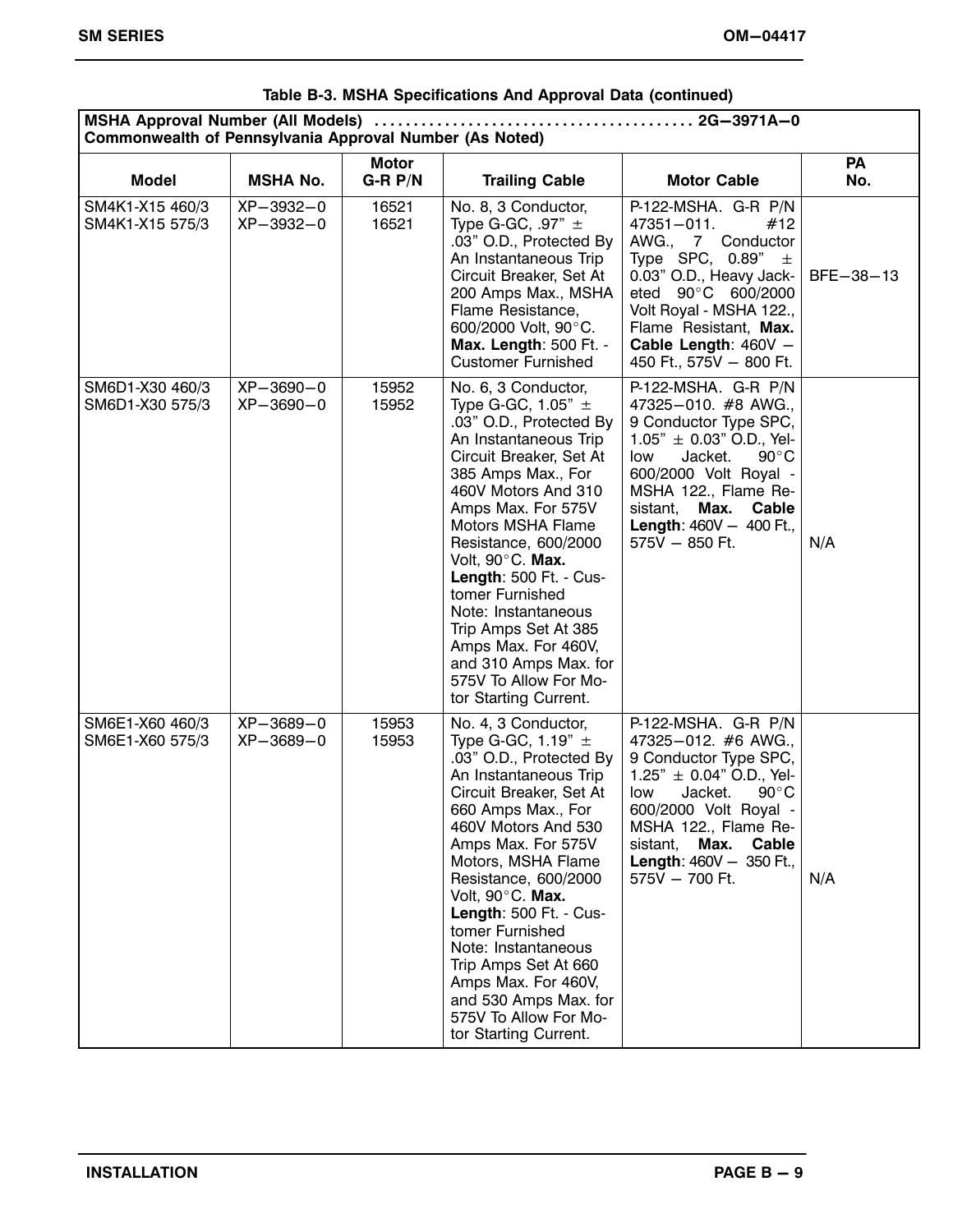| Commonwealth of Pennsylvania Approval Number (As Noted) |                              |                           |                                                                                                                                                                                                                                                                                                                                                                                                                                                                 |                                                                                                                                                                                                                                                                           |                  |
|---------------------------------------------------------|------------------------------|---------------------------|-----------------------------------------------------------------------------------------------------------------------------------------------------------------------------------------------------------------------------------------------------------------------------------------------------------------------------------------------------------------------------------------------------------------------------------------------------------------|---------------------------------------------------------------------------------------------------------------------------------------------------------------------------------------------------------------------------------------------------------------------------|------------------|
| <b>Model</b>                                            | <b>MSHA No.</b>              | <b>Motor</b><br>$G-R P/N$ | <b>Trailing Cable</b>                                                                                                                                                                                                                                                                                                                                                                                                                                           | <b>Motor Cable</b>                                                                                                                                                                                                                                                        | <b>PA</b><br>No. |
| SM4K1-X15 460/3<br>SM4K1-X15 575/3                      | $XP-3932-0$<br>XP-3932-0     | 16521<br>16521            | No. 8, 3 Conductor,<br>Type G-GC, $.97" \pm$<br>.03" O.D., Protected By<br>An Instantaneous Trip<br>Circuit Breaker, Set At<br>200 Amps Max., MSHA<br>Flame Resistance,<br>600/2000 Volt, 90°C.<br>Max. Length: 500 Ft. -<br><b>Customer Furnished</b>                                                                                                                                                                                                          | P-122-MSHA. G-R P/N<br>47351-011.<br>#12<br>AWG., 7 Conductor<br>Type SPC, $0.89" \pm$<br>0.03" O.D., Heavy Jack-<br>eted 90°C 600/2000<br>Volt Royal - MSHA 122.,<br>Flame Resistant, Max.<br>Cable Length: 460V -<br>450 Ft., 575V - 800 Ft.                            | BFE-38-13        |
| SM6D1-X30 460/3<br>SM6D1-X30 575/3                      | XP-3690-0<br>$XP - 3690 - 0$ | 15952<br>15952            | No. 6, 3 Conductor,<br>Type G-GC, 1.05" $\pm$<br>.03" O.D., Protected By<br>An Instantaneous Trip<br>Circuit Breaker, Set At<br>385 Amps Max., For<br>460V Motors And 310<br>Amps Max. For 575V<br>Motors MSHA Flame<br>Resistance, 600/2000<br>Volt, 90°C. Max.<br>Length: 500 Ft. - Cus-<br>tomer Furnished<br>Note: Instantaneous<br>Trip Amps Set At 385<br>Amps Max. For 460V,<br>and 310 Amps Max. for<br>575V To Allow For Mo-<br>tor Starting Current.  | P-122-MSHA. G-R P/N<br>47325-010. #8 AWG.,<br>9 Conductor Type SPC,<br>$1.05" \pm 0.03"$ O.D., Yel-<br>Jacket.<br>low<br>$90^{\circ}$ C<br>600/2000 Volt Royal -<br>MSHA 122., Flame Re-<br>sistant, Max. Cable<br><b>Length: 460V - 400 Ft.,</b><br>575V - 850 Ft.       | N/A              |
| SM6E1-X60 460/3<br>SM6E1-X60 575/3                      | XP-3689-0<br>XP-3689-0       | 15953<br>15953            | No. 4, 3 Conductor,<br>Type G-GC, 1.19" $\pm$<br>.03" O.D., Protected By<br>An Instantaneous Trip<br>Circuit Breaker, Set At<br>660 Amps Max., For<br>460V Motors And 530<br>Amps Max. For 575V<br>Motors, MSHA Flame<br>Resistance, 600/2000<br>Volt, 90°C. Max.<br>Length: 500 Ft. - Cus-<br>tomer Furnished<br>Note: Instantaneous<br>Trip Amps Set At 660<br>Amps Max. For 460V,<br>and 530 Amps Max. for<br>575V To Allow For Mo-<br>tor Starting Current. | P-122-MSHA. G-R P/N<br>47325-012. #6 AWG.,<br>9 Conductor Type SPC,<br>$1.25" \pm 0.04"$ O.D., Yel-<br>$90^{\circ}$ C<br>Jacket.<br>low<br>600/2000 Volt Royal -<br>MSHA 122., Flame Re-<br>Max.<br>Cable<br>sistant.<br><b>Length: 460V - 350 Ft.,</b><br>575V - 700 Ft. | N/A              |

#### **Table B‐3. MSHA Specifications And Approval Data (continued)**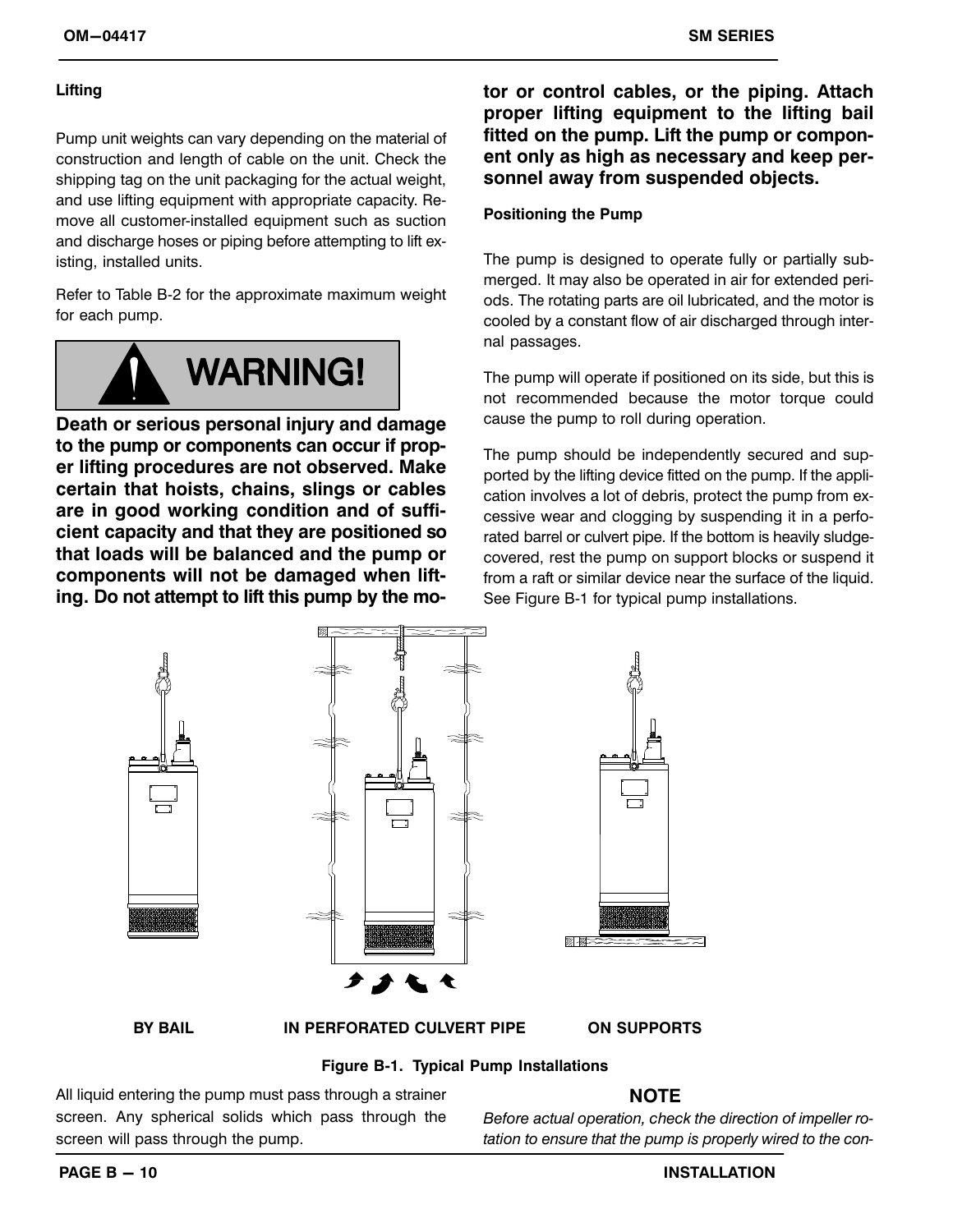#### **Lifting**

Pump unit weights can vary depending on the material of construction and length of cable on the unit. Check the shipping tag on the unit packaging for the actual weight, and use lifting equipment with appropriate capacity. Remove all customer‐installed equipment such as suction and discharge hoses or piping before attempting to lift existing, installed units.

Refer to Table B‐2 for the approximate maximum weight for each pump.



**Death or serious personal injury and damage to the pump or components can occur if proper lifting procedures are not observed. Make certain that hoists, chains, slings or cables are in good working condition and of sufficient capacity and that they are positioned so that loads will be balanced and the pump or components will not be damaged when lifting. Do not attempt to lift this pump by the mo-** **tor or control cables, or the piping. Attach proper lifting equipment to the lifting bail fitted on the pump. Lift the pump or component only as high as necessary and keep personnel away from suspended objects.**

#### **Positioning the Pump**

The pump is designed to operate fully or partially submerged. It may also be operated in air for extended periods. The rotating parts are oil lubricated, and the motor is cooled by a constant flow of air discharged through internal passages.

The pump will operate if positioned on its side, but this is not recommended because the motor torque could cause the pump to roll during operation.

The pump should be independently secured and supported by the lifting device fitted on the pump. If the application involves a lot of debris, protect the pump from excessive wear and clogging by suspending it in a perforated barrel or culvert pipe. If the bottom is heavily sludge‐ covered, rest the pump on support blocks or suspend it from a raft or similar device near the surface of the liquid. See Figure B‐1 for typical pump installations.



**Figure B‐1. Typical Pump Installations**

All liquid entering the pump must pass through a strainer screen. Any spherical solids which pass through the screen will pass through the pump.

# **NOTE**

*Before actual operation, check the direction of impeller rotation to ensure that the pump is properly wired to the con*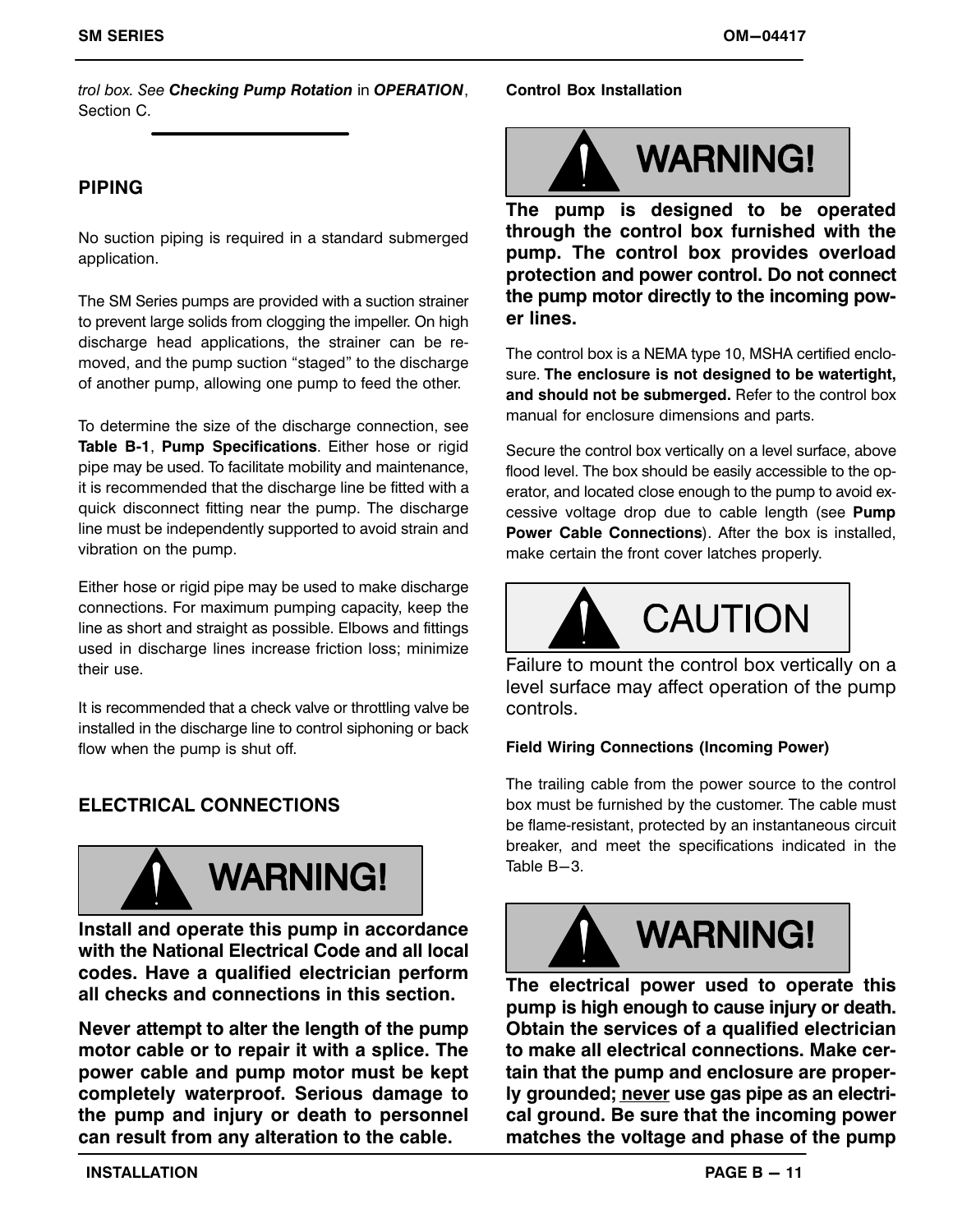*trol box. See Checking Pump Rotation* in *OPERATION*, Section C.

# **PIPING**

No suction piping is required in a standard submerged application.

The SM Series pumps are provided with a suction strainer to prevent large solids from clogging the impeller. On high discharge head applications, the strainer can be removed, and the pump suction "staged" to the discharge of another pump, allowing one pump to feed the other.

To determine the size of the discharge connection, see **Table B‐1**, **Pump Specifications**. Either hose or rigid pipe may be used. To facilitate mobility and maintenance, it is recommended that the discharge line be fitted with a quick disconnect fitting near the pump. The discharge line must be independently supported to avoid strain and vibration on the pump.

Either hose or rigid pipe may be used to make discharge connections. For maximum pumping capacity, keep the line as short and straight as possible. Elbows and fittings used in discharge lines increase friction loss; minimize their use.

It is recommended that a check valve or throttling valve be installed in the discharge line to control siphoning or back flow when the pump is shut off.

# **ELECTRICAL CONNECTIONS**



**Install and operate this pump in accordance with the National Electrical Code and all local codes. Have a qualified electrician perform all checks and connections in this section.**

**Never attempt to alter the length of the pump motor cable or to repair it with a splice. The power cable and pump motor must be kept completely waterproof. Serious damage to the pump and injury or death to personnel can result from any alteration to the cable.**

#### **Control Box Installation**



**The pump is designed to be operated through the control box furnished with the pump. The control box provides overload protection and power control. Do not connect the pump motor directly to the incoming power lines.**

The control box is a NEMA type 10, MSHA certified enclosure. **The enclosure is not designed to be watertight, and should not be submerged.** Refer to the control box manual for enclosure dimensions and parts.

Secure the control box vertically on a level surface, above flood level. The box should be easily accessible to the operator, and located close enough to the pump to avoid excessive voltage drop due to cable length (see **Pump Power Cable Connections**). After the box is installed, make certain the front cover latches properly.



Failure to mount the control box vertically on a level surface may affect operation of the pump controls.

#### **Field Wiring Connections (Incoming Power)**

The trailing cable from the power source to the control box must be furnished by the customer. The cable must be flame-resistant, protected by an instantaneous circuit breaker, and meet the specifications indicated in the Table B-3.



**The electrical power used to operate this pump is high enough to cause injury or death. Obtain the services of a qualified electrician to make all electrical connections. Make certain that the pump and enclosure are properly grounded; never use gas pipe as an electrical ground. Be sure that the incoming power matches the voltage and phase of the pump**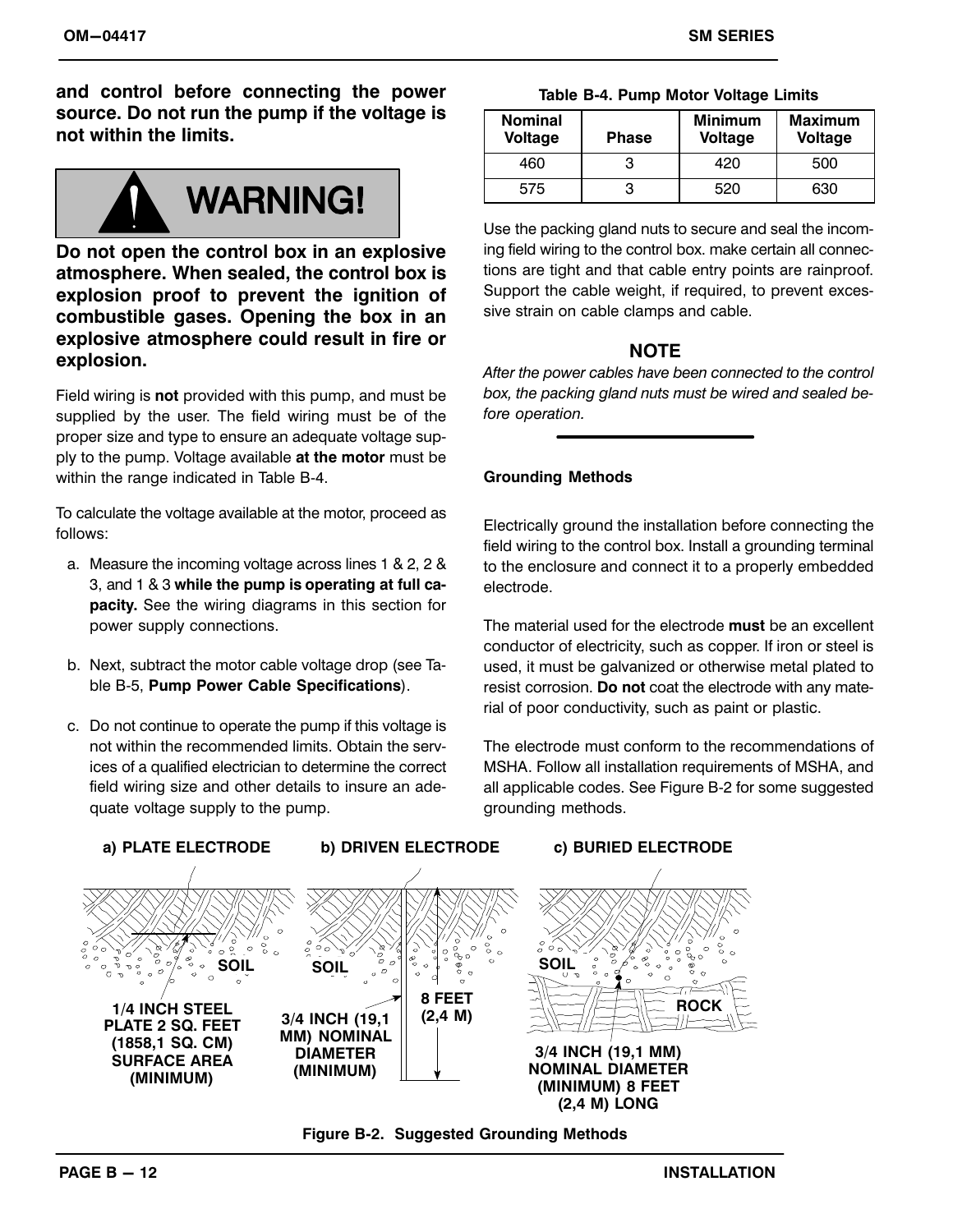**and control before connecting the power source. Do not run the pump if the voltage is not within the limits.**

# **WARNING!**

**Do not open the control box in an explosive atmosphere. When sealed, the control box is explosion proof to prevent the ignition of combustible gases. Opening the box in an explosive atmosphere could result in fire or explosion.**

Field wiring is **not** provided with this pump, and must be supplied by the user. The field wiring must be of the proper size and type to ensure an adequate voltage supply to the pump. Voltage available **at the motor** must be within the range indicated in Table B‐4.

To calculate the voltage available at the motor, proceed as follows:

- a. Measure the incoming voltage across lines 1 & 2, 2 & 3, and 1 & 3 **while the pump is operating at full capacity.** See the wiring diagrams in this section for power supply connections.
- b. Next, subtract the motor cable voltage drop (see Table B‐5, **Pump Power Cable Specifications**).
- c. Do not continue to operate the pump if this voltage is not within the recommended limits. Obtain the services of a qualified electrician to determine the correct field wiring size and other details to insure an adequate voltage supply to the pump.

|  |  | Table B-4. Pump Motor Voltage Limits |  |
|--|--|--------------------------------------|--|
|  |  |                                      |  |

| <b>Nominal</b><br><b>Voltage</b> | <b>Phase</b> | <b>Minimum</b><br><b>Voltage</b> | <b>Maximum</b><br>Voltage |
|----------------------------------|--------------|----------------------------------|---------------------------|
| 460                              |              | 420                              | 500                       |
| 575                              |              | 520                              | 630                       |

Use the packing gland nuts to secure and seal the incoming field wiring to the control box. make certain all connections are tight and that cable entry points are rainproof. Support the cable weight, if required, to prevent excessive strain on cable clamps and cable.

# **NOTE**

*After the power cables have been connected to the control box, the packing gland nuts must be wired and sealed before operation.*

#### **Grounding Methods**

Electrically ground the installation before connecting the field wiring to the control box. Install a grounding terminal to the enclosure and connect it to a properly embedded electrode.

The material used for the electrode **must** be an excellent conductor of electricity, such as copper. If iron or steel is used, it must be galvanized or otherwise metal plated to resist corrosion. **Do not** coat the electrode with any material of poor conductivity, such as paint or plastic.

The electrode must conform to the recommendations of MSHA. Follow all installation requirements of MSHA, and all applicable codes. See Figure B‐2 for some suggested grounding methods.



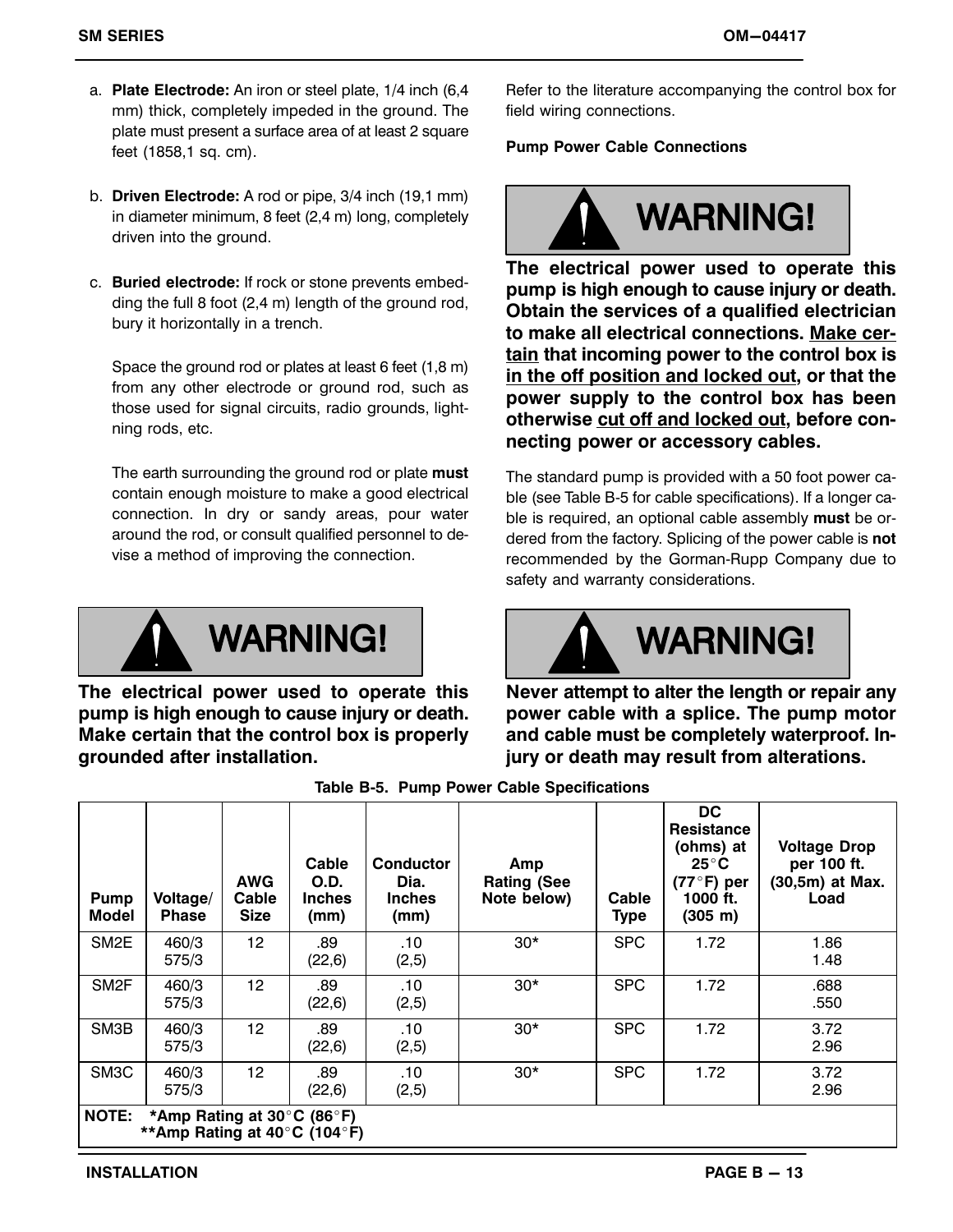- a. **Plate Electrode:** An iron or steel plate, 1/4 inch (6,4 mm) thick, completely impeded in the ground. The plate must present a surface area of at least 2 square feet (1858,1 sq. cm).
- b. **Driven Electrode:** A rod or pipe, 3/4 inch (19,1 mm) in diameter minimum, 8 feet (2,4 m) long, completely driven into the ground.
- c. **Buried electrode:** If rock or stone prevents embedding the full 8 foot (2,4 m) length of the ground rod, bury it horizontally in a trench.

Space the ground rod or plates at least 6 feet (1,8 m) from any other electrode or ground rod, such as those used for signal circuits, radio grounds, lightning rods, etc.

The earth surrounding the ground rod or plate **must** contain enough moisture to make a good electrical connection. In dry or sandy areas, pour water around the rod, or consult qualified personnel to devise a method of improving the connection.



**The electrical power used to operate this pump is high enough to cause injury or death. Make certain that the control box is properly grounded after installation.**

Refer to the literature accompanying the control box for field wiring connections.

#### **Pump Power Cable Connections**



**The electrical power used to operate this pump is high enough to cause injury or death. Obtain the services of a qualified electrician to make all electrical connections. Make certain that incoming power to the control box is in the off position and locked out, or that the power supply to the control box has been otherwise cut off and locked out, before connecting power or accessory cables.**

The standard pump is provided with a 50 foot power cable (see Table B‐5 for cable specifications). If a longer cable is required, an optional cable assembly **must** be ordered from the factory. Splicing of the power cable is **not** recommended by the Gorman‐Rupp Company due to safety and warranty considerations.



**Never attempt to alter the length or repair any power cable with a splice. The pump motor and cable must be completely waterproof. Injury or death may result from alterations.**

| <b>Pump</b><br>Model | Voltage/<br><b>Phase</b>                       | <b>AWG</b><br>Cable<br><b>Size</b> | Cable<br><b>O.D.</b><br><b>Inches</b><br>(mm) | Conductor<br>Dia.<br><b>Inches</b><br>(mm) | Amp<br><b>Rating (See</b><br>Note below) | Cable<br><b>Type</b> | <b>DC</b><br><b>Resistance</b><br>(ohms) at<br>$25^{\circ}$ C<br>$(77°F)$ per<br>1000 ft.<br>(305 m) | <b>Voltage Drop</b><br>per 100 ft.<br>(30,5m) at Max.<br>Load |
|----------------------|------------------------------------------------|------------------------------------|-----------------------------------------------|--------------------------------------------|------------------------------------------|----------------------|------------------------------------------------------------------------------------------------------|---------------------------------------------------------------|
| SM <sub>2E</sub>     | 460/3<br>575/3                                 | 12                                 | .89<br>(22,6)                                 | .10<br>(2,5)                               | $30*$                                    | <b>SPC</b>           | 1.72                                                                                                 | 1.86<br>1.48                                                  |
| SM <sub>2F</sub>     | 460/3<br>575/3                                 | 12                                 | .89<br>(22,6)                                 | .10<br>(2,5)                               | $30*$                                    | <b>SPC</b>           | 1.72                                                                                                 | .688<br>.550                                                  |
| SM3B                 | 460/3<br>575/3                                 | 12                                 | .89<br>(22,6)                                 | .10<br>(2,5)                               | $30*$                                    | <b>SPC</b>           | 1.72                                                                                                 | 3.72<br>2.96                                                  |
| SM <sub>3</sub> C    | 460/3<br>575/3                                 | 12                                 | .89<br>(22,6)                                 | .10<br>(2,5)                               | $30*$                                    | <b>SPC</b>           | 1.72                                                                                                 | 3.72<br>2.96                                                  |
| <b>NOTE:</b>         | *Amp Rating at 30 $\degree$ C (86 $\degree$ F) |                                    |                                               |                                            |                                          |                      |                                                                                                      |                                                               |

**Table B‐5. Pump Power Cable Specifications** 

**\*\*Amp Rating at 40C (104F)**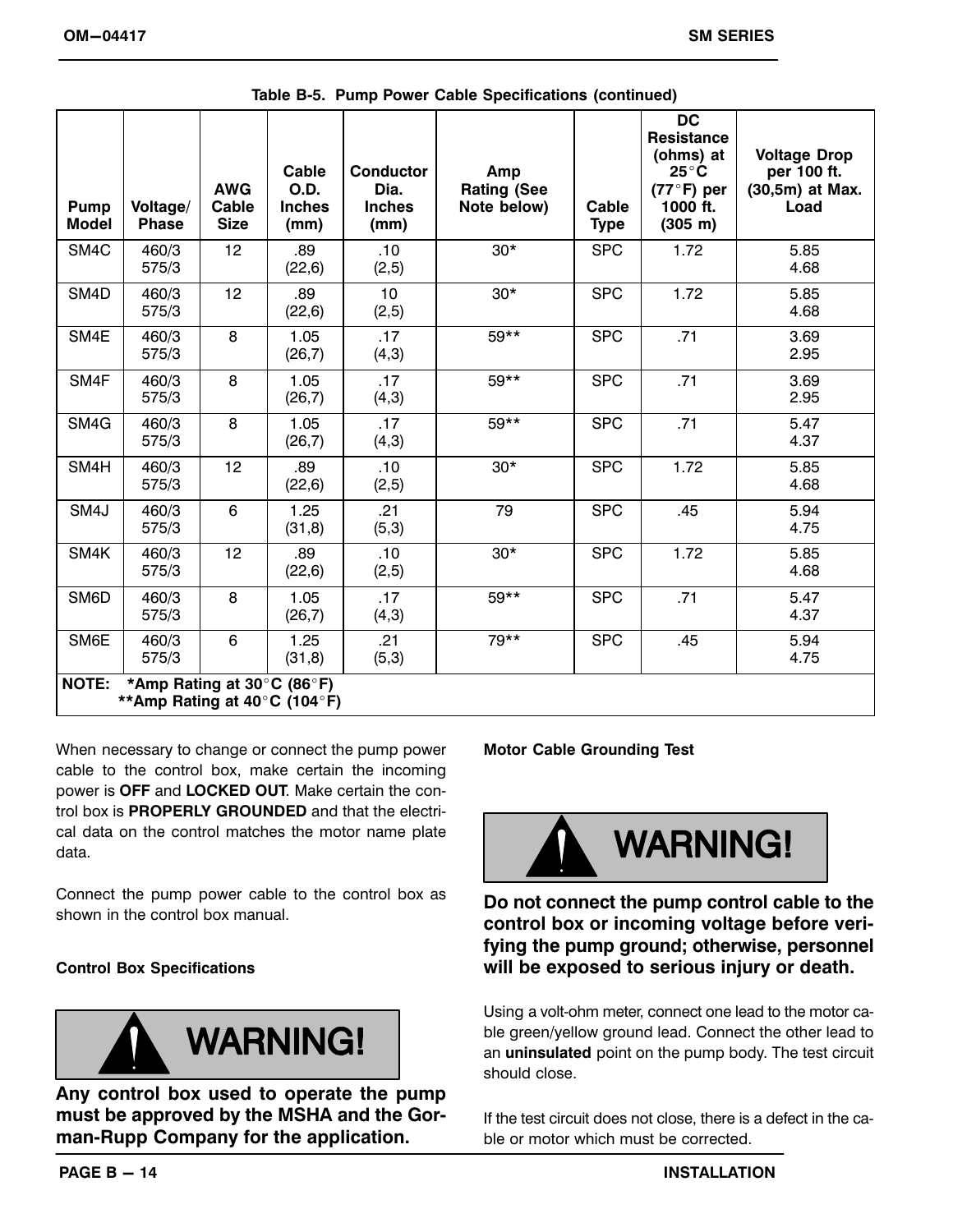| Pump<br><b>Model</b>                                                       | Voltage/<br><b>Phase</b> | <b>AWG</b><br><b>Cable</b><br><b>Size</b> | Cable<br>O.D.<br><b>Inches</b><br>(mm) | <b>Conductor</b><br>Dia.<br><b>Inches</b><br>(mm) | Amp<br><b>Rating (See</b><br>Note below) | Cable<br><b>Type</b> | <b>DC</b><br><b>Resistance</b><br>(ohms) at<br>$25^{\circ}$ C<br>$(77°F)$ per<br>1000 ft.<br>(305 m) | <b>Voltage Drop</b><br>per 100 ft.<br>(30,5m) at Max.<br>Load |
|----------------------------------------------------------------------------|--------------------------|-------------------------------------------|----------------------------------------|---------------------------------------------------|------------------------------------------|----------------------|------------------------------------------------------------------------------------------------------|---------------------------------------------------------------|
| SM4C                                                                       | 460/3<br>575/3           | 12                                        | .89<br>(22, 6)                         | .10<br>(2, 5)                                     | $30*$                                    | <b>SPC</b>           | 1.72                                                                                                 | 5.85<br>4.68                                                  |
| SM <sub>4</sub> D                                                          | 460/3<br>575/3           | 12                                        | .89<br>(22,6)                          | 10<br>(2,5)                                       | $30*$                                    | <b>SPC</b>           | 1.72                                                                                                 | 5.85<br>4.68                                                  |
| SM4E                                                                       | 460/3<br>575/3           | 8                                         | 1.05<br>(26,7)                         | .17<br>(4,3)                                      | 59**                                     | <b>SPC</b>           | .71                                                                                                  | 3.69<br>2.95                                                  |
| SM4F                                                                       | 460/3<br>575/3           | 8                                         | 1.05<br>(26,7)                         | .17<br>(4,3)                                      | 59**                                     | <b>SPC</b>           | .71                                                                                                  | 3.69<br>2.95                                                  |
| SM4G                                                                       | 460/3<br>575/3           | 8                                         | 1.05<br>(26,7)                         | .17<br>(4,3)                                      | $59**$                                   | <b>SPC</b>           | .71                                                                                                  | 5.47<br>4.37                                                  |
| SM4H                                                                       | 460/3<br>575/3           | 12                                        | .89<br>(22,6)                          | .10<br>(2,5)                                      | $30*$                                    | <b>SPC</b>           | 1.72                                                                                                 | 5.85<br>4.68                                                  |
| SM4J                                                                       | 460/3<br>575/3           | 6                                         | 1.25<br>(31,8)                         | .21<br>(5,3)                                      | 79                                       | <b>SPC</b>           | .45                                                                                                  | 5.94<br>4.75                                                  |
| SM4K                                                                       | 460/3<br>575/3           | 12                                        | .89<br>(22,6)                          | .10<br>(2,5)                                      | $30*$                                    | <b>SPC</b>           | 1.72                                                                                                 | 5.85<br>4.68                                                  |
| SM6D                                                                       | 460/3<br>575/3           | 8                                         | 1.05<br>(26,7)                         | .17<br>(4,3)                                      | $59**$                                   | <b>SPC</b>           | .71                                                                                                  | 5.47<br>4.37                                                  |
| SM6E                                                                       | 460/3<br>575/3           | 6                                         | 1.25<br>(31, 8)                        | .21<br>(5,3)                                      | 79**                                     | <b>SPC</b>           | .45                                                                                                  | 5.94<br>4.75                                                  |
| <b>NOTE:</b><br>*Amp Rating at 30°C (86°F)<br>**Amp Rating at 40°C (104°F) |                          |                                           |                                        |                                                   |                                          |                      |                                                                                                      |                                                               |

**Table B‐5. Pump Power Cable Specifications (continued)**

When necessary to change or connect the pump power cable to the control box, make certain the incoming power is **OFF** and **LOCKED OUT**. Make certain the control box is **PROPERLY GROUNDED** and that the electrical data on the control matches the motor name plate data.

Connect the pump power cable to the control box as shown in the control box manual.

#### **Control Box Specifications**



**Any control box used to operate the pump must be approved by the MSHA and the Gorman‐Rupp Company for the application.**

**Motor Cable Grounding Test**



**Do not connect the pump control cable to the control box or incoming voltage before verifying the pump ground; otherwise, personnel will be exposed to serious injury or death.**

Using a volt‐ohm meter, connect one lead to the motor cable green/yellow ground lead. Connect the other lead to an **uninsulated** point on the pump body. The test circuit should close.

If the test circuit does not close, there is a defect in the cable or motor which must be corrected.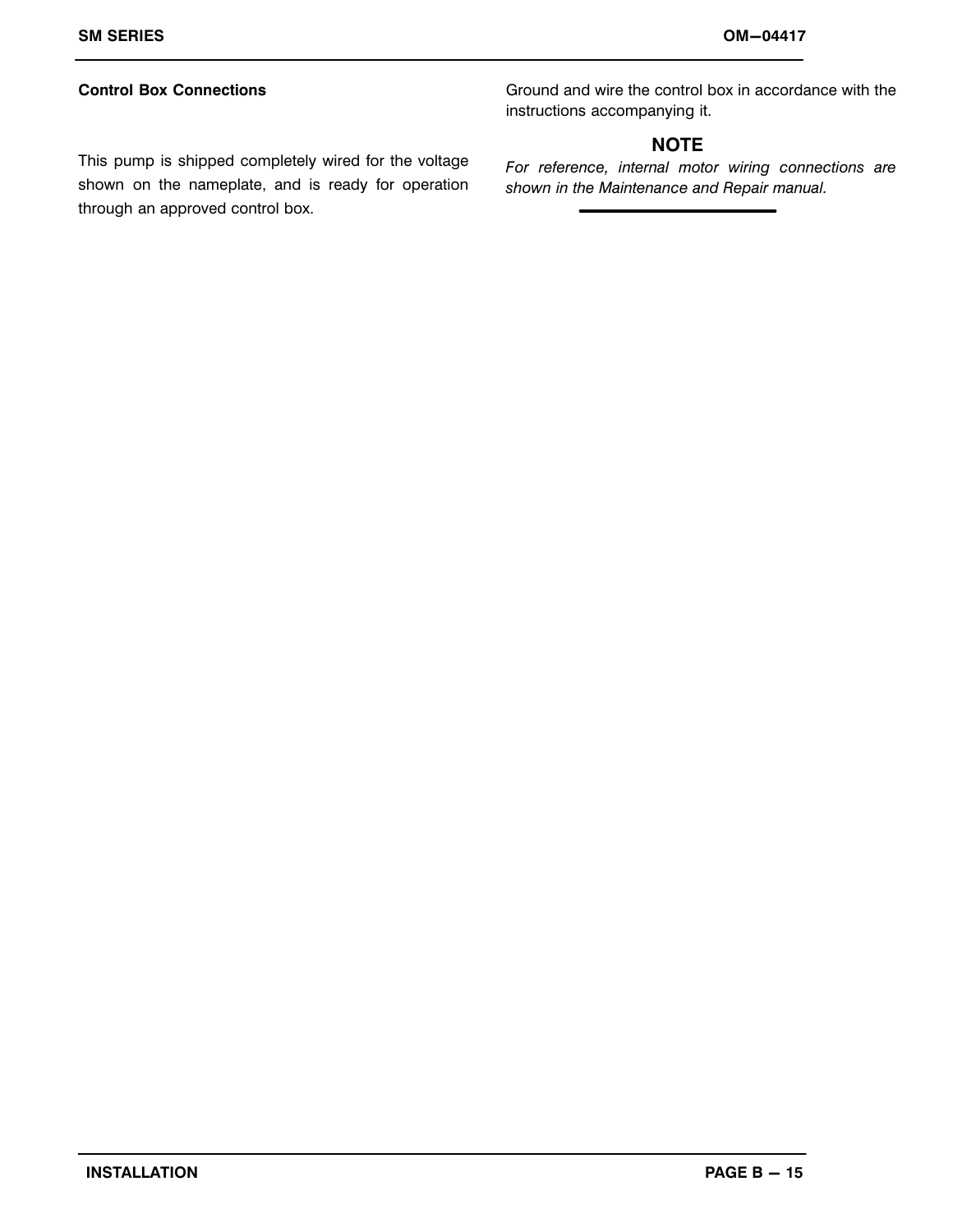#### **Control Box Connections**

Ground and wire the control box in accordance with the instructions accompanying it.

#### **NOTE**

This pump is shipped completely wired for the voltage shown on the nameplate, and is ready for operation through an approved control box.

*For reference, internal motor wiring connections are shown in the Maintenance and Repair manual.*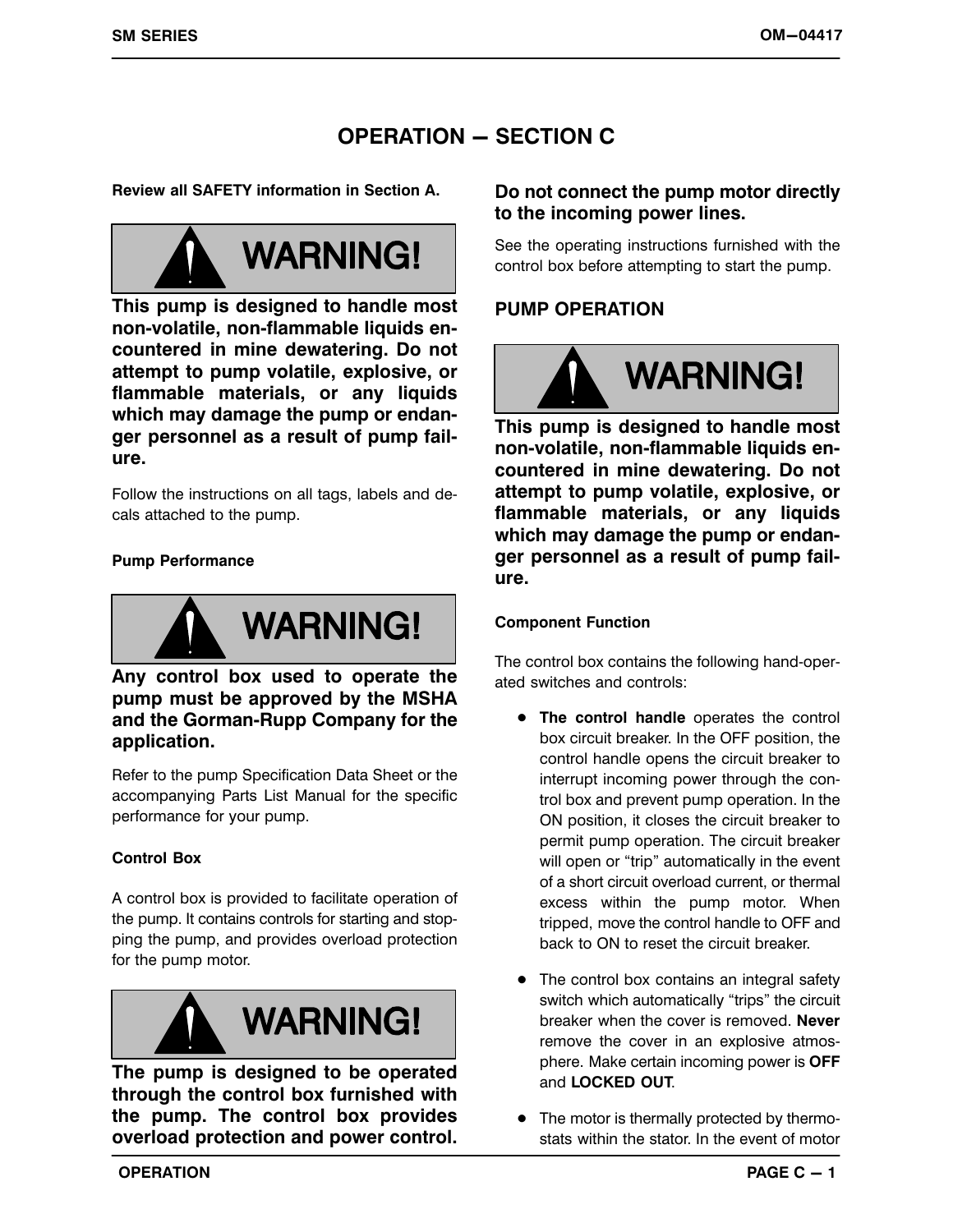# **OPERATION - SECTION C**

**Review all SAFETY information in Section A.**



**This pump is designed to handle most non‐volatile, non‐flammable liquids encountered in mine dewatering. Do not attempt to pump volatile, explosive, or flammable materials, or any liquids which may damage the pump or endanger personnel as a result of pump failure.**

Follow the instructions on all tags, labels and decals attached to the pump.

#### **Pump Performance**



#### **Any control box used to operate the pump must be approved by the MSHA and the Gorman‐Rupp Company for the application.**

Refer to the pump Specification Data Sheet or the accompanying Parts List Manual for the specific performance for your pump.

#### **Control Box**

A control box is provided to facilitate operation of the pump. It contains controls for starting and stopping the pump, and provides overload protection for the pump motor.



**The pump is designed to be operated through the control box furnished with the pump. The control box provides overload protection and power control.**

#### **Do not connect the pump motor directly to the incoming power lines.**

See the operating instructions furnished with the control box before attempting to start the pump.

#### **PUMP OPERATION**



**This pump is designed to handle most non‐volatile, non‐flammable liquids encountered in mine dewatering. Do not attempt to pump volatile, explosive, or flammable materials, or any liquids which may damage the pump or endanger personnel as a result of pump failure.**

#### **Component Function**

The control box contains the following hand‐operated switches and controls:

- **The control handle** operates the control box circuit breaker. In the OFF position, the control handle opens the circuit breaker to interrupt incoming power through the control box and prevent pump operation. In the ON position, it closes the circuit breaker to permit pump operation. The circuit breaker will open or "trip" automatically in the event of a short circuit overload current, or thermal excess within the pump motor. When tripped, move the control handle to OFF and back to ON to reset the circuit breaker.
- The control box contains an integral safety switch which automatically "trips" the circuit breaker when the cover is removed. **Never** remove the cover in an explosive atmosphere. Make certain incoming power is **OFF** and **LOCKED OUT**.
- The motor is thermally protected by thermostats within the stator. In the event of motor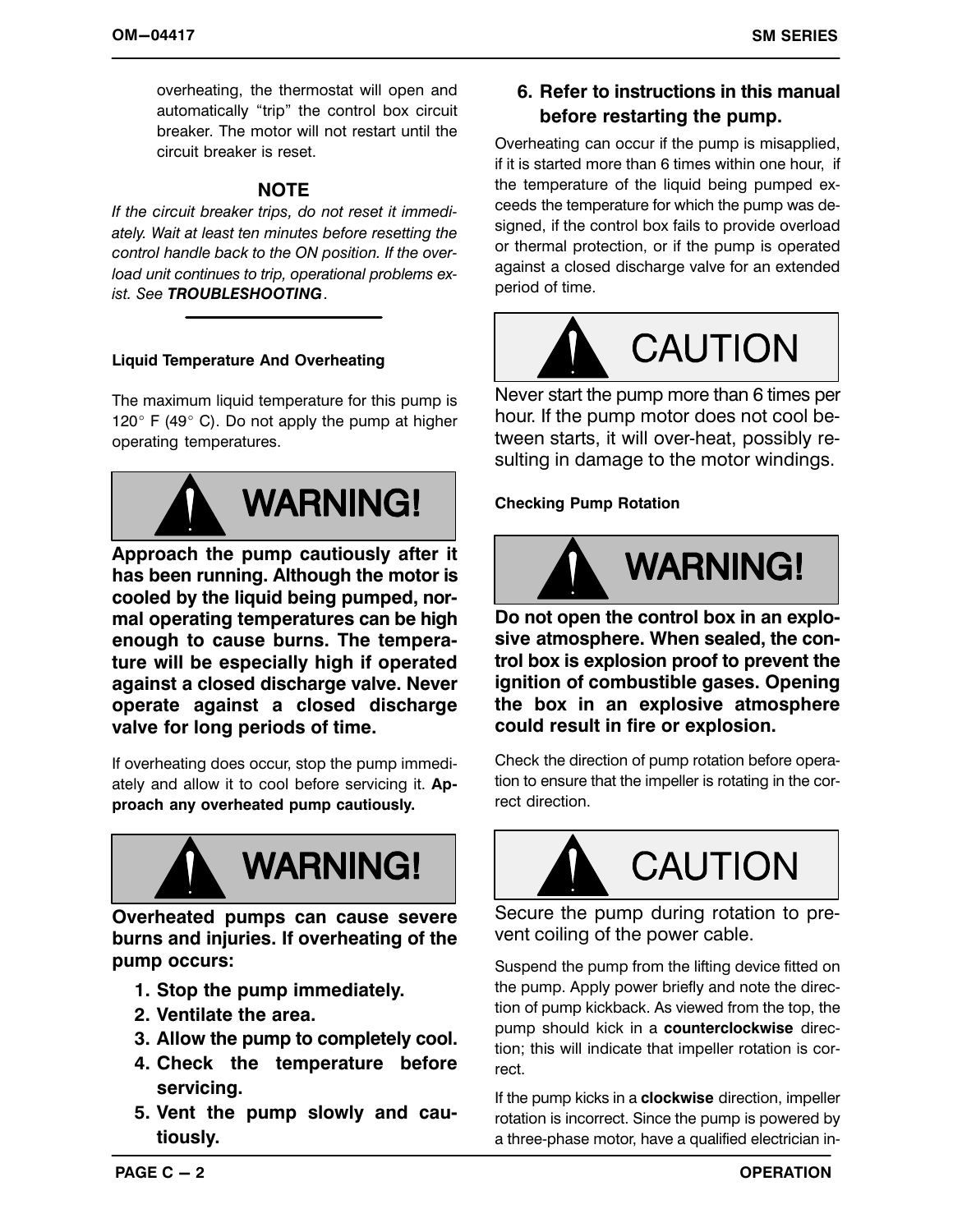overheating, the thermostat will open and automatically "trip" the control box circuit breaker. The motor will not restart until the circuit breaker is reset.

#### **NOTE**

*If the circuit breaker trips, do not reset it immediately. Wait at least ten minutes before resetting the control handle back to the ON position. If the overload unit continues to trip, operational problems exist. See TROUBLESHOOTING.*

#### **Liquid Temperature And Overheating**

The maximum liquid temperature for this pump is 120 $\degree$  F (49 $\degree$  C). Do not apply the pump at higher operating temperatures.



**Approach the pump cautiously after it has been running. Although the motor is cooled by the liquid being pumped, normal operating temperatures can be high enough to cause burns. The temperature will be especially high if operated against a closed discharge valve. Never operate against a closed discharge valve for long periods of time.**

If overheating does occur, stop the pump immediately and allow it to cool before servicing it. **Approach any overheated pump cautiously.**



**Overheated pumps can cause severe burns and injuries. If overheating of the pump occurs:**

- **1. Stop the pump immediately.**
- **2. Ventilate the area.**
- **3. Allow the pump to completely cool.**
- **4. Check the temperature before servicing.**
- **5. Vent the pump slowly and cautiously.**

**6. Refer to instructions in this manual before restarting the pump.**

Overheating can occur if the pump is misapplied, if it is started more than 6 times within one hour, if the temperature of the liquid being pumped exceeds the temperature for which the pump was designed, if the control box fails to provide overload or thermal protection, or if the pump is operated against a closed discharge valve for an extended period of time.



Never start the pump more than 6 times per hour. If the pump motor does not cool between starts, it will over‐heat, possibly resulting in damage to the motor windings.

**Checking Pump Rotation**



**Do not open the control box in an explosive atmosphere. When sealed, the control box is explosion proof to prevent the ignition of combustible gases. Opening the box in an explosive atmosphere could result in fire or explosion.**

Check the direction of pump rotation before operation to ensure that the impeller is rotating in the correct direction.



Secure the pump during rotation to prevent coiling of the power cable.

Suspend the pump from the lifting device fitted on the pump. Apply power briefly and note the direction of pump kickback. As viewed from the top, the pump should kick in a **counterclockwise** direction; this will indicate that impeller rotation is correct.

If the pump kicks in a **clockwise** direction, impeller rotation is incorrect. Since the pump is powered by a three‐phase motor, have a qualified electrician in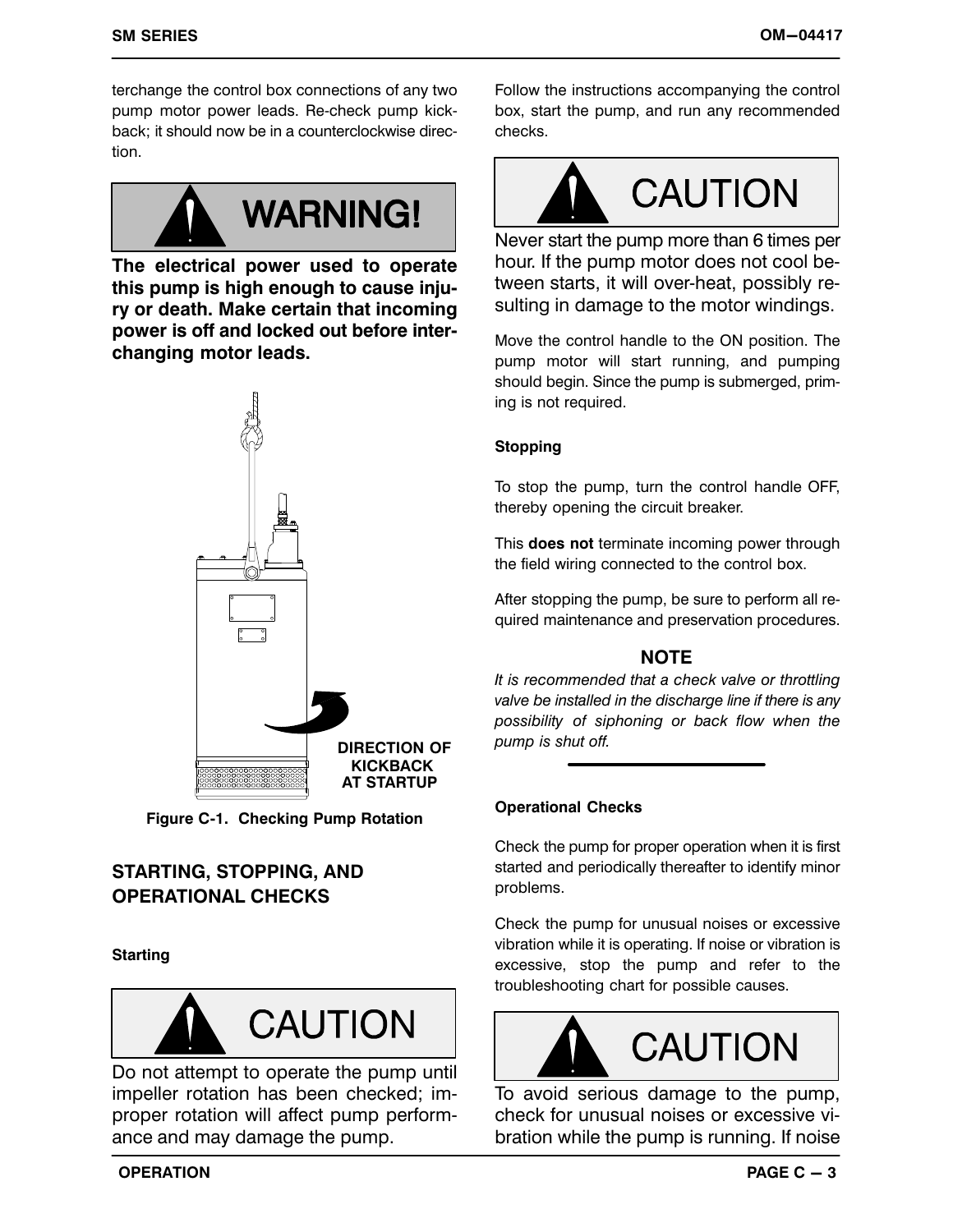terchange the control box connections of any two pump motor power leads. Re‐check pump kickback; it should now be in a counterclockwise direction.



**The electrical power used to operate this pump is high enough to cause injury or death. Make certain that incoming power is off and locked out before interchanging motor leads.**



**Figure C‐1. Checking Pump Rotation**

# **STARTING, STOPPING, AND OPERATIONAL CHECKS**

#### **Starting**



Do not attempt to operate the pump until impeller rotation has been checked; improper rotation will affect pump performance and may damage the pump.

Follow the instructions accompanying the control box, start the pump, and run any recommended checks.



Never start the pump more than 6 times per hour. If the pump motor does not cool between starts, it will over‐heat, possibly resulting in damage to the motor windings.

Move the control handle to the ON position. The pump motor will start running, and pumping should begin. Since the pump is submerged, priming is not required.

#### **Stopping**

To stop the pump, turn the control handle OFF, thereby opening the circuit breaker.

This **does not** terminate incoming power through the field wiring connected to the control box.

After stopping the pump, be sure to perform all required maintenance and preservation procedures.

#### **NOTE**

*It is recommended that a check valve or throttling valve be installed in the discharge line if there is any possibility of siphoning or back flow when the pump is shut off.*

#### **Operational Checks**

Check the pump for proper operation when it is first started and periodically thereafter to identify minor problems.

Check the pump for unusual noises or excessive vibration while it is operating. If noise or vibration is excessive, stop the pump and refer to the troubleshooting chart for possible causes.



To avoid serious damage to the pump, check for unusual noises or excessive vibration while the pump is running. If noise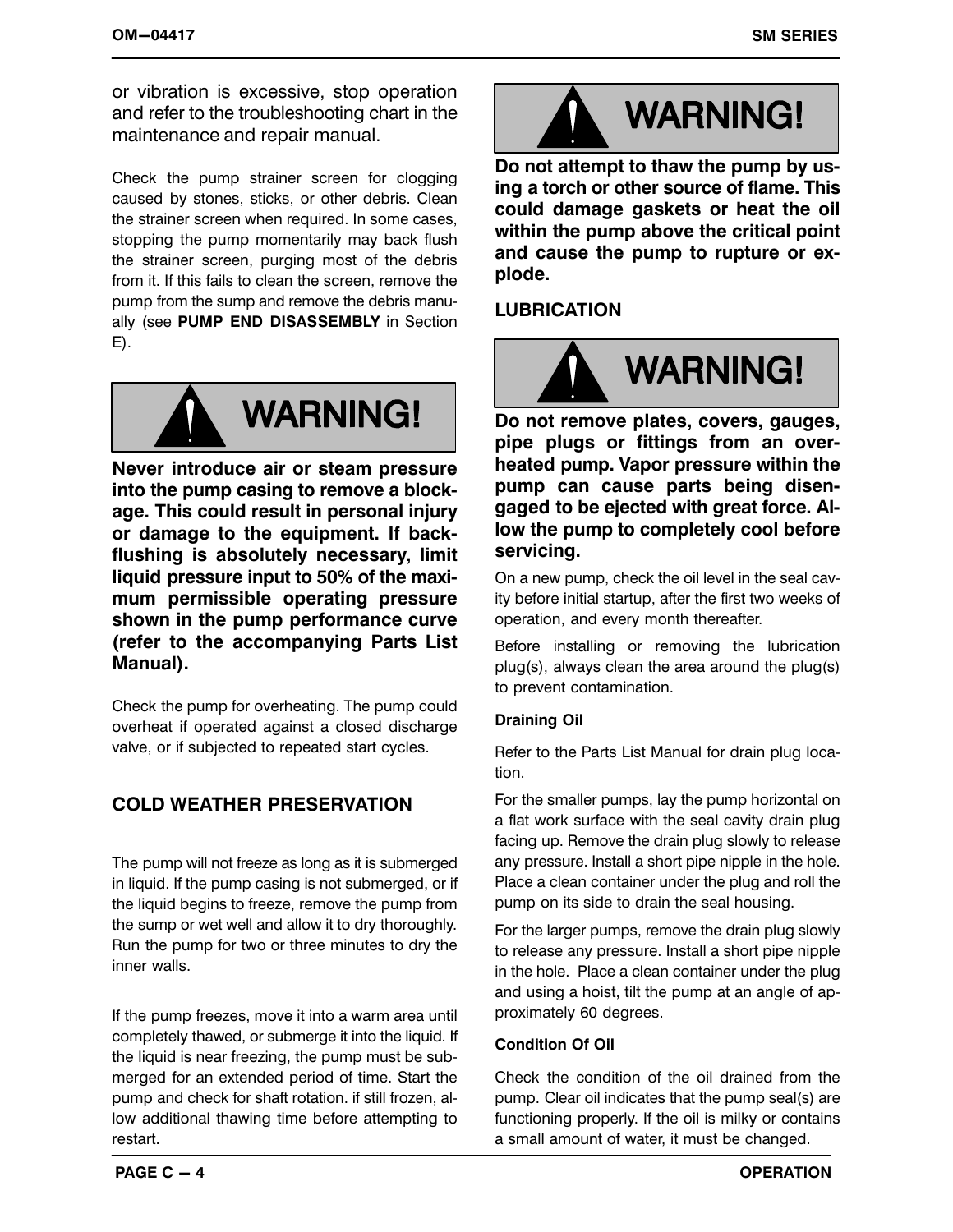or vibration is excessive, stop operation and refer to the troubleshooting chart in the maintenance and repair manual.

Check the pump strainer screen for clogging caused by stones, sticks, or other debris. Clean the strainer screen when required. In some cases, stopping the pump momentarily may back flush the strainer screen, purging most of the debris from it. If this fails to clean the screen, remove the pump from the sump and remove the debris manually (see **PUMP END DISASSEMBLY** in Section E).



**Never introduce air or steam pressure into the pump casing to remove a blockage. This could result in personal injury or damage to the equipment. If backflushing is absolutely necessary, limit liquid pressure input to 50% of the maximum permissible operating pressure shown in the pump performance curve (refer to the accompanying Parts List Manual).**

Check the pump for overheating. The pump could overheat if operated against a closed discharge valve, or if subjected to repeated start cycles.

# **COLD WEATHER PRESERVATION**

The pump will not freeze as long as it is submerged in liquid. If the pump casing is not submerged, or if the liquid begins to freeze, remove the pump from the sump or wet well and allow it to dry thoroughly. Run the pump for two or three minutes to dry the inner walls.

If the pump freezes, move it into a warm area until completely thawed, or submerge it into the liquid. If the liquid is near freezing, the pump must be submerged for an extended period of time. Start the pump and check for shaft rotation. if still frozen, allow additional thawing time before attempting to restart.



**Do not attempt to thaw the pump by using a torch or other source of flame. This could damage gaskets or heat the oil within the pump above the critical point and cause the pump to rupture or explode.**

# **LUBRICATION**



**Do not remove plates, covers, gauges, pipe plugs or fittings from an overheated pump. Vapor pressure within the pump can cause parts being disengaged to be ejected with great force. Allow the pump to completely cool before servicing.**

On a new pump, check the oil level in the seal cavity before initial startup, after the first two weeks of operation, and every month thereafter.

Before installing or removing the lubrication plug(s), always clean the area around the plug(s) to prevent contamination.

#### **Draining Oil**

Refer to the Parts List Manual for drain plug location.

For the smaller pumps, lay the pump horizontal on a flat work surface with the seal cavity drain plug facing up. Remove the drain plug slowly to release any pressure. Install a short pipe nipple in the hole. Place a clean container under the plug and roll the pump on its side to drain the seal housing.

For the larger pumps, remove the drain plug slowly to release any pressure. Install a short pipe nipple in the hole. Place a clean container under the plug and using a hoist, tilt the pump at an angle of approximately 60 degrees.

#### **Condition Of Oil**

Check the condition of the oil drained from the pump. Clear oil indicates that the pump seal(s) are functioning properly. If the oil is milky or contains a small amount of water, it must be changed.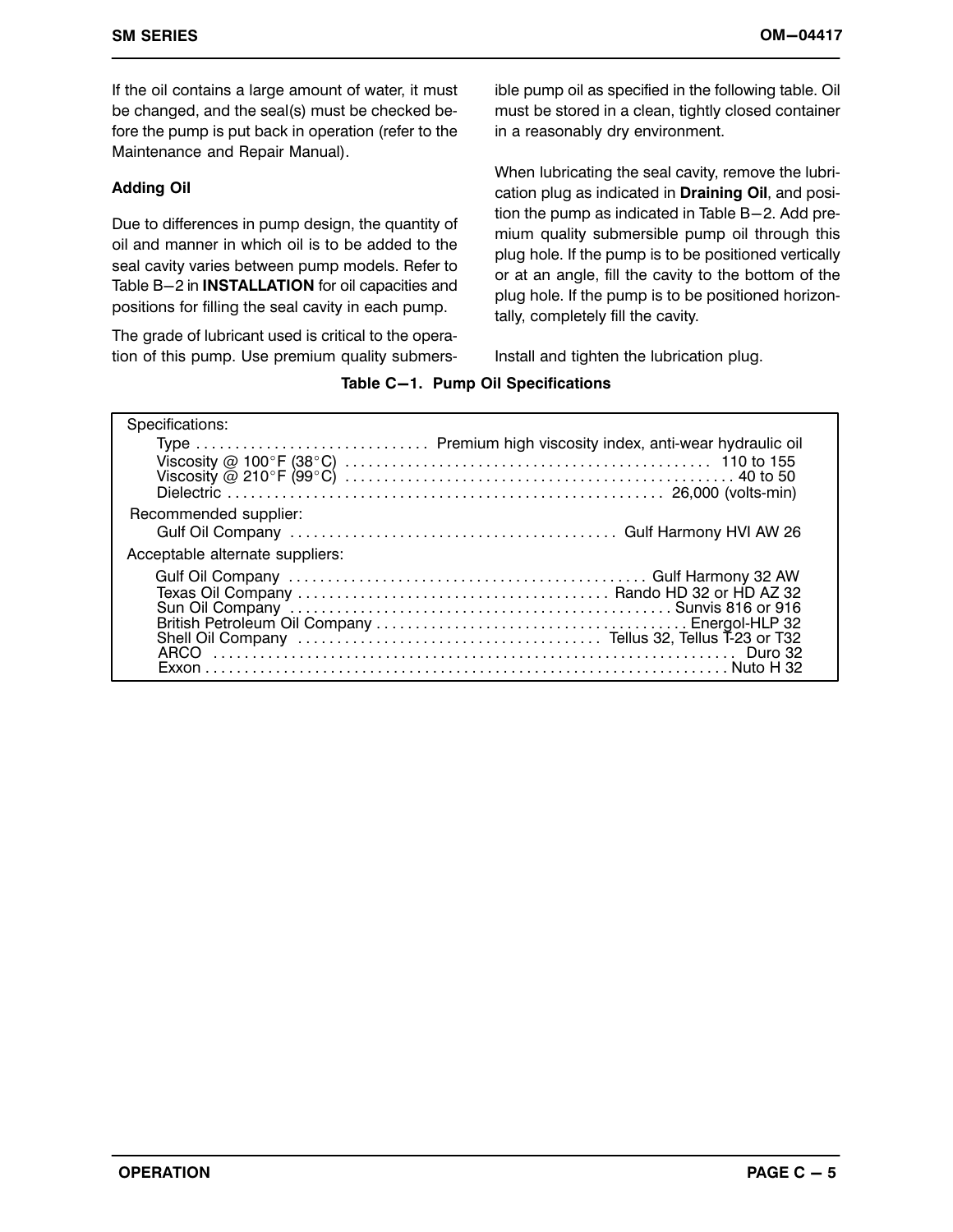If the oil contains a large amount of water, it must be changed, and the seal(s) must be checked before the pump is put back in operation (refer to the Maintenance and Repair Manual).

#### **Adding Oil**

Due to differences in pump design, the quantity of oil and manner in which oil is to be added to the seal cavity varies between pump models. Refer to Table B-2 in **INSTALLATION** for oil capacities and positions for filling the seal cavity in each pump.

The grade of lubricant used is critical to the operation of this pump. Use premium quality submersible pump oil as specified in the following table. Oil must be stored in a clean, tightly closed container in a reasonably dry environment.

When lubricating the seal cavity, remove the lubrication plug as indicated in **Draining Oil**, and position the pump as indicated in Table  $B-2$ . Add premium quality submersible pump oil through this plug hole. If the pump is to be positioned vertically or at an angle, fill the cavity to the bottom of the plug hole. If the pump is to be positioned horizontally, completely fill the cavity.

Install and tighten the lubrication plug.

#### **Table C-1. Pump Oil Specifications**

| Specifications:                 |                                                             |
|---------------------------------|-------------------------------------------------------------|
|                                 | Type  Premium high viscosity index, anti-wear hydraulic oil |
|                                 |                                                             |
|                                 |                                                             |
|                                 |                                                             |
| Recommended supplier:           |                                                             |
|                                 |                                                             |
| Acceptable alternate suppliers: |                                                             |
|                                 |                                                             |
|                                 |                                                             |
|                                 |                                                             |
|                                 |                                                             |
|                                 |                                                             |
|                                 |                                                             |
|                                 |                                                             |